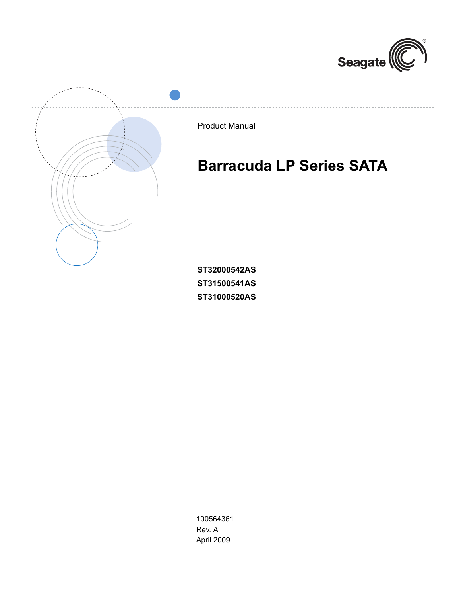



**ST31000520AS**

100564361 Rev. A April 2009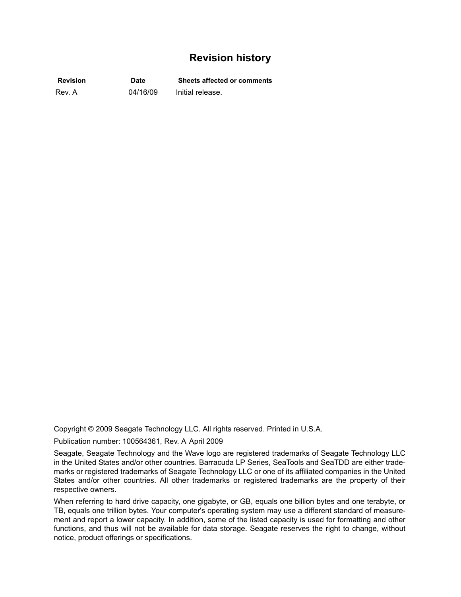# **Revision history**

**Revision Date Sheets affected or comments** Rev. A 04/16/09 Initial release.

Copyright © 2009 Seagate Technology LLC. All rights reserved. Printed in U.S.A.

Publication number: 100564361, Rev. A April 2009

Seagate, Seagate Technology and the Wave logo are registered trademarks of Seagate Technology LLC in the United States and/or other countries. Barracuda LP Series, SeaTools and SeaTDD are either trademarks or registered trademarks of Seagate Technology LLC or one of its affiliated companies in the United States and/or other countries. All other trademarks or registered trademarks are the property of their respective owners.

When referring to hard drive capacity, one gigabyte, or GB, equals one billion bytes and one terabyte, or TB, equals one trillion bytes. Your computer's operating system may use a different standard of measurement and report a lower capacity. In addition, some of the listed capacity is used for formatting and other functions, and thus will not be available for data storage. Seagate reserves the right to change, without notice, product offerings or specifications.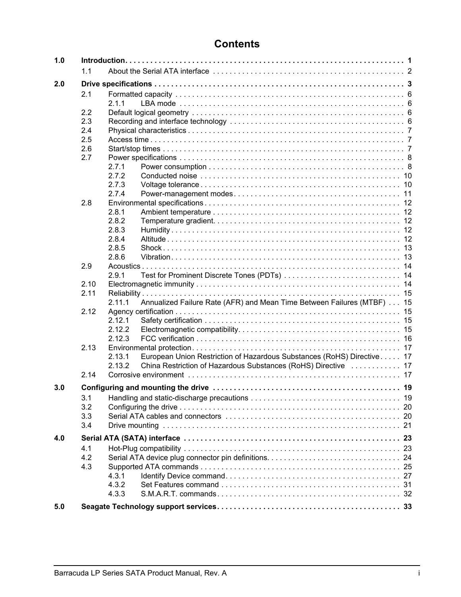| 1.0 |      |                                                                                  |
|-----|------|----------------------------------------------------------------------------------|
|     | 1.1  |                                                                                  |
| 2.0 |      |                                                                                  |
|     | 2.1  |                                                                                  |
|     |      | 2.1.1                                                                            |
|     | 2.2  |                                                                                  |
|     | 2.3  |                                                                                  |
|     | 2.4  |                                                                                  |
|     | 2.5  |                                                                                  |
|     | 2.6  |                                                                                  |
|     | 2.7  |                                                                                  |
|     |      | 2.7.1                                                                            |
|     |      | 2.7.2                                                                            |
|     |      | 2.7.3                                                                            |
|     |      | 2.7.4                                                                            |
|     | 2.8  |                                                                                  |
|     |      | 2.8.1                                                                            |
|     |      | 2.8.2                                                                            |
|     |      | 2.8.3                                                                            |
|     |      | 2.8.4                                                                            |
|     |      | 2.8.5                                                                            |
|     |      | 2.8.6                                                                            |
|     | 2.9  |                                                                                  |
|     |      | 2.9.1                                                                            |
|     | 2.10 |                                                                                  |
|     | 2.11 |                                                                                  |
|     |      | 2.11.1<br>Annualized Failure Rate (AFR) and Mean Time Between Failures (MTBF) 15 |
|     | 2.12 |                                                                                  |
|     |      | 2.12.1                                                                           |
|     |      | 2.12.2                                                                           |
|     |      | 2.12.3                                                                           |
|     | 2.13 |                                                                                  |
|     |      | European Union Restriction of Hazardous Substances (RoHS) Directive 17<br>2.13.1 |
|     |      | China Restriction of Hazardous Substances (RoHS) Directive  17<br>2.13.2         |
|     | 2.14 |                                                                                  |
| 3.0 |      |                                                                                  |
|     | 3.1  |                                                                                  |
|     | 3.2  |                                                                                  |
|     | 3.3  |                                                                                  |
|     | 3.4  |                                                                                  |
| 4.0 |      |                                                                                  |
|     | 4.1  |                                                                                  |
|     | 4.2  |                                                                                  |
|     | 4.3  |                                                                                  |
|     |      | 4.3.1                                                                            |
|     |      | 4.3.2                                                                            |
|     |      | 4.3.3                                                                            |
|     |      |                                                                                  |
| 5.0 |      |                                                                                  |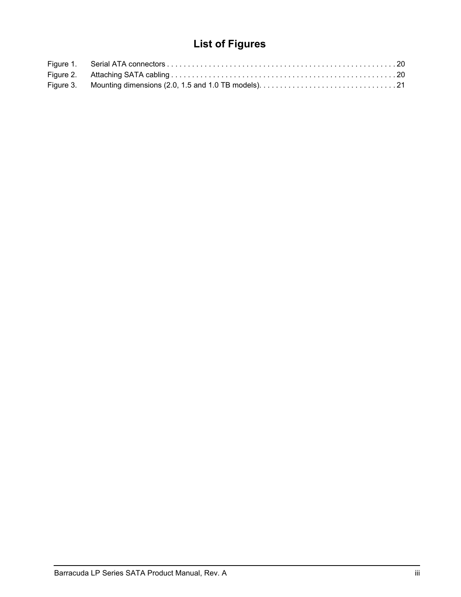# **List of Figures**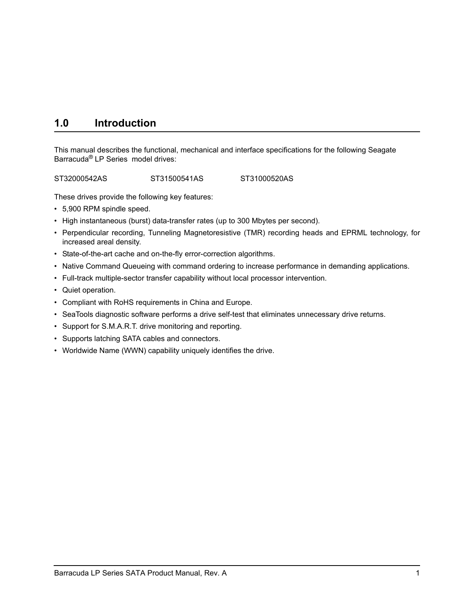# <span id="page-6-0"></span>**1.0 Introduction**

This manual describes the functional, mechanical and interface specifications for the following Seagate Barracuda® LP Series model drives:

ST32000542AS ST31500541AS ST31000520AS

<span id="page-6-5"></span>These drives provide the following key features:

- <span id="page-6-2"></span>• 5,900 RPM spindle speed.
- High instantaneous (burst) data-transfer rates (up to 300 Mbytes per second).
- <span id="page-6-6"></span><span id="page-6-3"></span><span id="page-6-1"></span>• Perpendicular recording, Tunneling Magnetoresistive (TMR) recording heads and EPRML technology, for increased areal density.
- <span id="page-6-4"></span>• State-of-the-art cache and on-the-fly error-correction algorithms.
- Native Command Queueing with command ordering to increase performance in demanding applications.
- Full-track multiple-sector transfer capability without local processor intervention.
- Quiet operation.
- Compliant with RoHS requirements in China and Europe.
- SeaTools diagnostic software performs a drive self-test that eliminates unnecessary drive returns.
- Support for S.M.A.R.T. drive monitoring and reporting.
- Supports latching SATA cables and connectors.
- Worldwide Name (WWN) capability uniquely identifies the drive.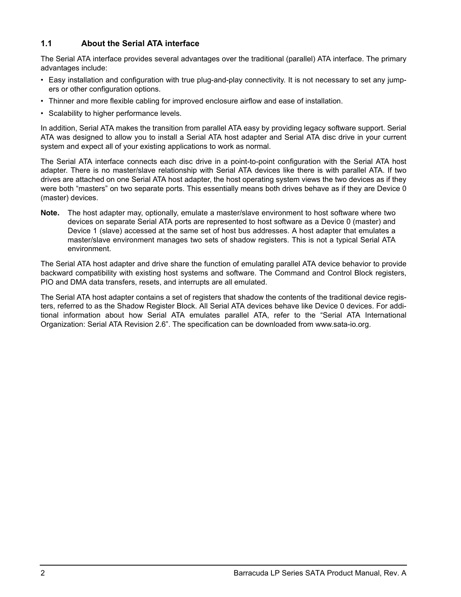## <span id="page-7-0"></span>**1.1 About the Serial ATA interface**

The Serial ATA interface provides several advantages over the traditional (parallel) ATA interface. The primary advantages include:

- Easy installation and configuration with true plug-and-play connectivity. It is not necessary to set any jumpers or other configuration options.
- Thinner and more flexible cabling for improved enclosure airflow and ease of installation.
- Scalability to higher performance levels.

In addition, Serial ATA makes the transition from parallel ATA easy by providing legacy software support. Serial ATA was designed to allow you to install a Serial ATA host adapter and Serial ATA disc drive in your current system and expect all of your existing applications to work as normal.

<span id="page-7-2"></span>The Serial ATA interface connects each disc drive in a point-to-point configuration with the Serial ATA host adapter. There is no master/slave relationship with Serial ATA devices like there is with parallel ATA. If two drives are attached on one Serial ATA host adapter, the host operating system views the two devices as if they were both "masters" on two separate ports. This essentially means both drives behave as if they are Device 0 (master) devices.

<span id="page-7-3"></span><span id="page-7-1"></span>**Note.** The host adapter may, optionally, emulate a master/slave environment to host software where two devices on separate Serial ATA ports are represented to host software as a Device 0 (master) and Device 1 (slave) accessed at the same set of host bus addresses. A host adapter that emulates a master/slave environment manages two sets of shadow registers. This is not a typical Serial ATA environment.

The Serial ATA host adapter and drive share the function of emulating parallel ATA device behavior to provide backward compatibility with existing host systems and software. The Command and Control Block registers, PIO and DMA data transfers, resets, and interrupts are all emulated.

The Serial ATA host adapter contains a set of registers that shadow the contents of the traditional device registers, referred to as the Shadow Register Block. All Serial ATA devices behave like Device 0 devices. For additional information about how Serial ATA emulates parallel ATA, refer to the "Serial ATA International Organization: Serial ATA Revision 2.6". The specification can be downloaded from www.sata-io.org.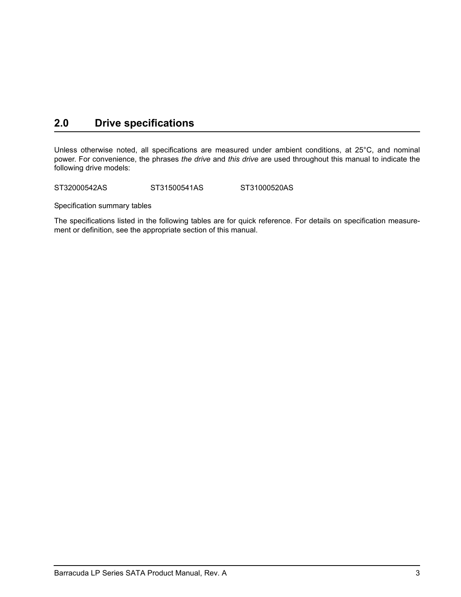# <span id="page-8-0"></span>**2.0 Drive specifications**

Unless otherwise noted, all specifications are measured under ambient conditions, at 25°C, and nominal power. For convenience, the phrases *the drive* and *this drive* are used throughout this manual to indicate the following drive models:

ST32000542AS ST31500541AS ST31000520AS

<span id="page-8-2"></span>Specification summary tables

<span id="page-8-1"></span>The specifications listed in the following tables are for quick reference. For details on specification measurement or definition, see the appropriate section of this manual.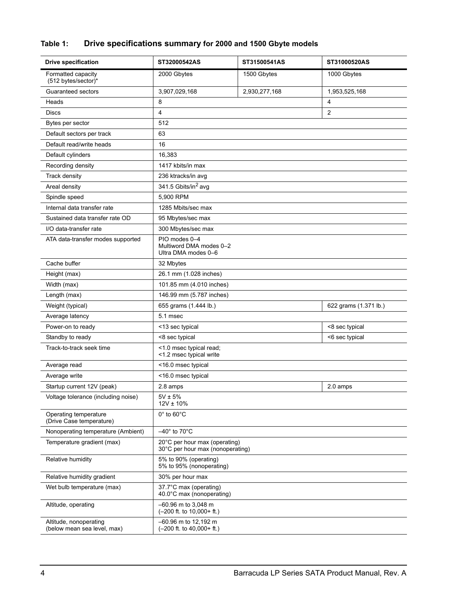# **Table 1: Drive specifications summary for 2000 and 1500 Gbyte models**

| <b>Drive specification</b>                            | ST32000542AS                                                      | ST31500541AS  | ST31000520AS          |
|-------------------------------------------------------|-------------------------------------------------------------------|---------------|-----------------------|
| Formatted capacity<br>(512 bytes/sector)*             | 2000 Gbytes                                                       | 1500 Gbytes   | 1000 Gbytes           |
| Guaranteed sectors                                    | 3,907,029,168                                                     | 2,930,277,168 | 1,953,525,168         |
| Heads                                                 | 8                                                                 |               | 4                     |
| Discs                                                 | 4                                                                 |               | $\overline{c}$        |
| Bytes per sector                                      | 512                                                               |               |                       |
| Default sectors per track                             | 63                                                                |               |                       |
| Default read/write heads                              | 16                                                                |               |                       |
| Default cylinders                                     | 16,383                                                            |               |                       |
| Recording density                                     | 1417 kbits/in max                                                 |               |                       |
| Track density                                         | 236 ktracks/in avg                                                |               |                       |
| Areal density                                         | 341.5 Gbits/in <sup>2</sup> avg                                   |               |                       |
| Spindle speed                                         | 5,900 RPM                                                         |               |                       |
| Internal data transfer rate                           | 1285 Mbits/sec max                                                |               |                       |
| Sustained data transfer rate OD                       | 95 Mbytes/sec max                                                 |               |                       |
| I/O data-transfer rate                                | 300 Mbytes/sec max                                                |               |                       |
| ATA data-transfer modes supported                     | PIO modes 0-4<br>Multiword DMA modes 0-2<br>Ultra DMA modes 0-6   |               |                       |
| Cache buffer                                          | 32 Mbytes                                                         |               |                       |
| Height (max)                                          | 26.1 mm (1.028 inches)                                            |               |                       |
| Width (max)                                           | 101.85 mm (4.010 inches)                                          |               |                       |
| Length (max)                                          | 146.99 mm (5.787 inches)                                          |               |                       |
| Weight (typical)                                      | 655 grams (1.444 lb.)                                             |               | 622 grams (1.371 lb.) |
| Average latency                                       | 5.1 msec                                                          |               |                       |
| Power-on to ready                                     | <13 sec typical                                                   |               | <8 sec typical        |
| Standby to ready                                      | <8 sec typical                                                    |               | <6 sec typical        |
| Track-to-track seek time                              | <1.0 msec typical read;<br><1.2 msec typical write                |               |                       |
| Average read                                          | <16.0 msec typical                                                |               |                       |
| Average write                                         | <16.0 msec typical                                                |               |                       |
| Startup current 12V (peak)                            | 2.8 amps                                                          |               | 2.0 amps              |
| Voltage tolerance (including noise)                   | $5V \pm 5%$<br>$12V \pm 10\%$                                     |               |                       |
| Operating temperature<br>(Drive Case temperature)     | $0^\circ$ to $60^\circ$ C                                         |               |                       |
| Nonoperating temperature (Ambient)                    | $-40^\circ$ to 70°C                                               |               |                       |
| Temperature gradient (max)                            | 20°C per hour max (operating)<br>30°C per hour max (nonoperating) |               |                       |
| Relative humidity                                     | 5% to 90% (operating)<br>5% to 95% (nonoperating)                 |               |                       |
| Relative humidity gradient                            | 30% per hour max                                                  |               |                       |
| Wet bulb temperature (max)                            | 37.7°C max (operating)<br>40.0°C max (nonoperating)               |               |                       |
| Altitude, operating                                   | -60.96 m to 3,048 m<br>$(-200$ ft. to 10,000+ ft.)                |               |                       |
| Altitude, nonoperating<br>(below mean sea level, max) | -60.96 m to 12,192 m<br>$(-200$ ft. to $40,000+$ ft.)             |               |                       |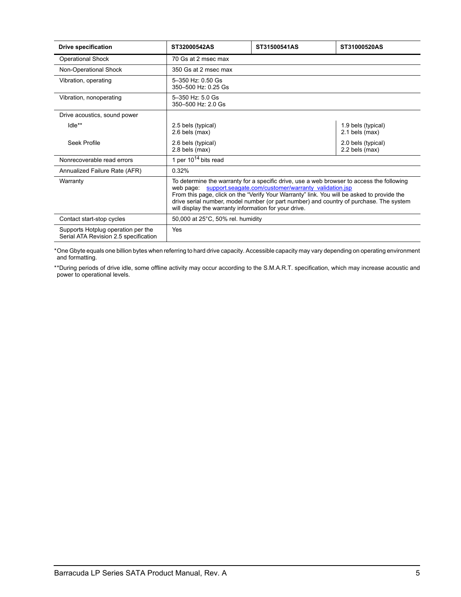| <b>Drive specification</b>                                                  | ST32000542AS                                                                                                                                                                                                                                                                                                                                                                                                 | ST31500541AS | ST31000520AS                           |
|-----------------------------------------------------------------------------|--------------------------------------------------------------------------------------------------------------------------------------------------------------------------------------------------------------------------------------------------------------------------------------------------------------------------------------------------------------------------------------------------------------|--------------|----------------------------------------|
| <b>Operational Shock</b>                                                    | 70 Gs at 2 msec max                                                                                                                                                                                                                                                                                                                                                                                          |              |                                        |
| Non-Operational Shock                                                       | 350 Gs at 2 msec max                                                                                                                                                                                                                                                                                                                                                                                         |              |                                        |
| Vibration, operating                                                        | 5-350 Hz: 0.50 Gs<br>350-500 Hz: 0.25 Gs                                                                                                                                                                                                                                                                                                                                                                     |              |                                        |
| Vibration, nonoperating                                                     | $5 - 350$ Hz: $5.0$ Gs<br>350-500 Hz: 2.0 Gs                                                                                                                                                                                                                                                                                                                                                                 |              |                                        |
| Drive acoustics, sound power                                                |                                                                                                                                                                                                                                                                                                                                                                                                              |              |                                        |
| Idle**                                                                      | 2.5 bels (typical)<br>$2.6$ bels (max)                                                                                                                                                                                                                                                                                                                                                                       |              | 1.9 bels (typical)<br>$2.1$ bels (max) |
| Seek Profile                                                                | 2.6 bels (typical)<br>$2.8$ bels (max)                                                                                                                                                                                                                                                                                                                                                                       |              | 2.0 bels (typical)<br>2.2 bels (max)   |
| Nonrecoverable read errors                                                  | 1 per $10^{14}$ bits read                                                                                                                                                                                                                                                                                                                                                                                    |              |                                        |
| Annualized Failure Rate (AFR)                                               | 0.32%                                                                                                                                                                                                                                                                                                                                                                                                        |              |                                        |
| Warranty                                                                    | To determine the warranty for a specific drive, use a web browser to access the following<br>web page: support.seagate.com/customer/warranty validation.jsp<br>From this page, click on the "Verify Your Warranty" link. You will be asked to provide the<br>drive serial number, model number (or part number) and country of purchase. The system<br>will display the warranty information for your drive. |              |                                        |
| Contact start-stop cycles                                                   | 50,000 at 25°C, 50% rel. humidity                                                                                                                                                                                                                                                                                                                                                                            |              |                                        |
| Supports Hotplug operation per the<br>Serial ATA Revision 2.5 specification | Yes                                                                                                                                                                                                                                                                                                                                                                                                          |              |                                        |

\*One Gbyte equals one billion bytes when referring to hard drive capacity. Accessible capacity may vary depending on operating environment and formatting.

\*\*During periods of drive idle, some offline activity may occur according to the S.M.A.R.T. specification, which may increase acoustic and power to operational levels*.*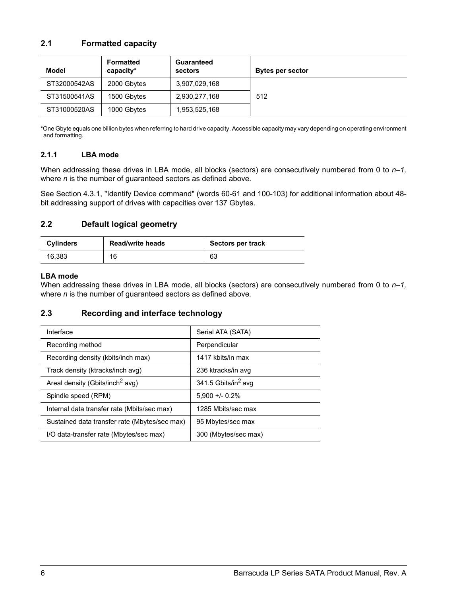## <span id="page-11-9"></span><span id="page-11-5"></span><span id="page-11-0"></span>**2.1 Formatted capacity**

| <b>Model</b> | <b>Formatted</b><br>capacity* | <b>Guaranteed</b><br>sectors | <b>Bytes per sector</b> |
|--------------|-------------------------------|------------------------------|-------------------------|
| ST32000542AS | 2000 Gbytes                   | 3,907,029,168                |                         |
| ST31500541AS | 1500 Gbytes                   | 2,930,277,168                | 512                     |
| ST31000520AS | 1000 Gbytes                   | 1,953,525,168                |                         |

\*One Gbyte equals one billion bytes when referring to hard drive capacity. Accessible capacity may vary depending on operating environment and formatting.

## <span id="page-11-16"></span><span id="page-11-1"></span>**2.1.1 LBA mode**

<span id="page-11-22"></span><span id="page-11-11"></span>When addressing these drives in LBA mode, all blocks (sectors) are consecutively numbered from 0 to  $n-1$ , where *n* is the number of guaranteed sectors as defined above*.*

See [Section 4.3.1, "Identify Device command"](#page-32-0) (words 60-61 and 100-103) for additional information about 48 bit addressing support of drives with capacities over 137 Gbytes.

#### <span id="page-11-23"></span><span id="page-11-17"></span><span id="page-11-10"></span><span id="page-11-7"></span><span id="page-11-2"></span>**2.2 Default logical geometry**

<span id="page-11-18"></span><span id="page-11-12"></span><span id="page-11-6"></span>

| <b>Cylinders</b> | <b>Read/write heads</b> | Sectors per track |
|------------------|-------------------------|-------------------|
| 16,383           | 16                      | 63                |

#### **LBA mode**

When addressing these drives in LBA mode, all blocks (sectors) are consecutively numbered from 0 to  $n-1$ , where *n* is the number of guaranteed sectors as defined above*.*

#### <span id="page-11-21"></span><span id="page-11-3"></span>**2.3 Recording and interface technology**

<span id="page-11-25"></span><span id="page-11-24"></span><span id="page-11-20"></span><span id="page-11-19"></span><span id="page-11-15"></span><span id="page-11-14"></span><span id="page-11-13"></span><span id="page-11-8"></span><span id="page-11-4"></span>

| Interface                                     | Serial ATA (SATA)               |
|-----------------------------------------------|---------------------------------|
| Recording method                              | Perpendicular                   |
| Recording density (kbits/inch max)            | 1417 kbits/in max               |
| Track density (ktracks/inch avg)              | 236 ktracks/in avg              |
| Areal density (Gbits/inch <sup>2</sup> avg)   | 341.5 Gbits/in <sup>2</sup> avg |
| Spindle speed (RPM)                           | $5.900 + 0.2\%$                 |
| Internal data transfer rate (Mbits/sec max)   | 1285 Mbits/sec max              |
| Sustained data transfer rate (Mbytes/sec max) | 95 Mbytes/sec max               |
| I/O data-transfer rate (Mbytes/sec max)       | 300 (Mbytes/sec max)            |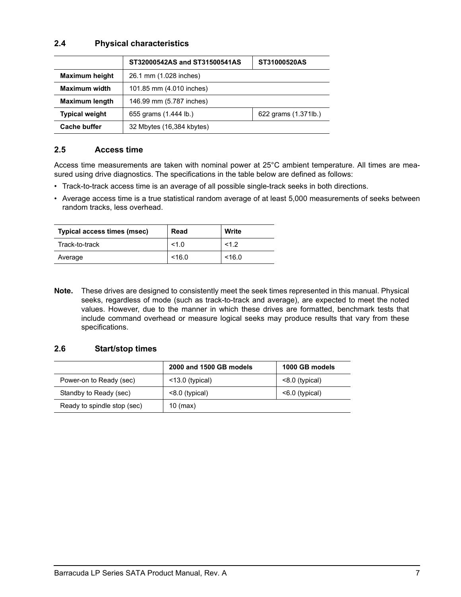### <span id="page-12-11"></span><span id="page-12-0"></span>**2.4 Physical characteristics**

<span id="page-12-21"></span><span id="page-12-9"></span><span id="page-12-7"></span>

|                       | ST32000542AS and ST31500541AS | ST31000520AS         |  |
|-----------------------|-------------------------------|----------------------|--|
| <b>Maximum height</b> | 26.1 mm (1.028 inches)        |                      |  |
| <b>Maximum width</b>  | 101.85 mm (4.010 inches)      |                      |  |
| <b>Maximum length</b> | 146.99 mm (5.787 inches)      |                      |  |
| <b>Typical weight</b> | 655 grams (1.444 lb.)         | 622 grams (1.371lb.) |  |
| <b>Cache buffer</b>   | 32 Mbytes (16,384 kbytes)     |                      |  |

### <span id="page-12-20"></span><span id="page-12-13"></span><span id="page-12-6"></span><span id="page-12-5"></span><span id="page-12-1"></span>**2.5 Access time**

<span id="page-12-17"></span><span id="page-12-10"></span><span id="page-12-3"></span>Access time measurements are taken with nominal power at 25°C ambient temperature. All times are measured using drive diagnostics. The specifications in the table below are defined as follows:

- <span id="page-12-19"></span><span id="page-12-14"></span><span id="page-12-8"></span>• Track-to-track access time is an average of all possible single-track seeks in both directions.
- <span id="page-12-4"></span>• Average access time is a true statistical random average of at least 5,000 measurements of seeks between random tracks, less overhead.

<span id="page-12-18"></span>

| <b>Typical access times (msec)</b> | Read   | Write  |
|------------------------------------|--------|--------|
| Track-to-track                     | <1.0   | < 1.2  |
| Average                            | < 16.0 | < 16.0 |

**Note.** These drives are designed to consistently meet the seek times represented in this manual. Physical seeks, regardless of mode (such as track-to-track and average), are expected to meet the noted values. However, due to the manner in which these drives are formatted, benchmark tests that include command overhead or measure logical seeks may produce results that vary from these specifications.

#### <span id="page-12-16"></span><span id="page-12-2"></span>**2.6 Start/stop times**

<span id="page-12-15"></span><span id="page-12-12"></span>

|                             | 2000 and 1500 GB models | 1000 GB models    |
|-----------------------------|-------------------------|-------------------|
| Power-on to Ready (sec)     | $<$ 13.0 (typical)      | $< 8.0$ (typical) |
| Standby to Ready (sec)      | <8.0 (typical)          | $< 6.0$ (typical) |
| Ready to spindle stop (sec) | $10$ (max)              |                   |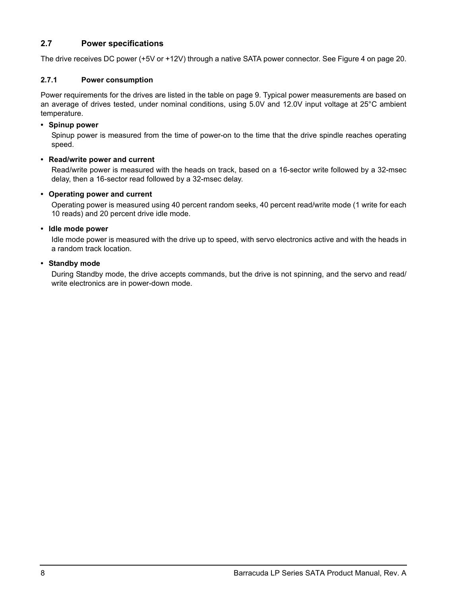## <span id="page-13-8"></span><span id="page-13-0"></span>**2.7 Power specifications**

<span id="page-13-3"></span>The drive receives DC power (+5V or +12V) through a native SATA power connector. See Figure [4](#page-25-3) on [page 20](#page-25-3).

### <span id="page-13-7"></span><span id="page-13-1"></span>**2.7.1 Power consumption**

Power requirements for the drives are listed in the table on page 9. Typical power measurements are based on an average of drives tested, under nominal conditions, using 5.0V and 12.0V input voltage at 25°C ambient temperature.

### **• Spinup power**

<span id="page-13-14"></span><span id="page-13-12"></span><span id="page-13-5"></span><span id="page-13-2"></span>Spinup power is measured from the time of power-on to the time that the drive spindle reaches operating speed.

#### **• Read/write power and current**

<span id="page-13-10"></span>Read/write power is measured with the heads on track, based on a 16-sector write followed by a 32-msec delay, then a 16-sector read followed by a 32-msec delay.

#### **• Operating power and current**

<span id="page-13-9"></span><span id="page-13-6"></span>Operating power is measured using 40 percent random seeks, 40 percent read/write mode (1 write for each 10 reads) and 20 percent drive idle mode.

#### **• Idle mode power**

<span id="page-13-11"></span><span id="page-13-4"></span>Idle mode power is measured with the drive up to speed, with servo electronics active and with the heads in a random track location.

#### **• Standby mode**

<span id="page-13-13"></span>During Standby mode, the drive accepts commands, but the drive is not spinning, and the servo and read/ write electronics are in power-down mode.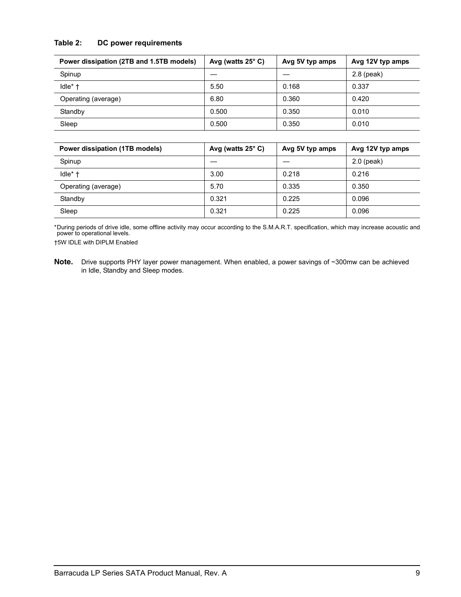### **Table 2: DC power requirements**

<span id="page-14-4"></span><span id="page-14-2"></span><span id="page-14-1"></span><span id="page-14-0"></span>

| Power dissipation (2TB and 1.5TB models) | Avg (watts $25^{\circ}$ C) | Avg 5V typ amps | Avg 12V typ amps |
|------------------------------------------|----------------------------|-----------------|------------------|
| Spinup                                   |                            |                 | $2.8$ (peak)     |
| Idle* +                                  | 5.50                       | 0.168           | 0.337            |
| Operating (average)                      | 6.80                       | 0.360           | 0.420            |
| Standby                                  | 0.500                      | 0.350           | 0.010            |
| Sleep                                    | 0.500                      | 0.350           | 0.010            |

<span id="page-14-5"></span><span id="page-14-3"></span>

| Power dissipation (1TB models) | Avg (watts $25^{\circ}$ C) | Avg 5V typ amps | Avg 12V typ amps |
|--------------------------------|----------------------------|-----------------|------------------|
| Spinup                         |                            |                 | $2.0$ (peak)     |
| Idle* +                        | 3.00                       | 0.218           | 0.216            |
| Operating (average)            | 5.70                       | 0.335           | 0.350            |
| Standby                        | 0.321                      | 0.225           | 0.096            |
| Sleep                          | 0.321                      | 0.225           | 0.096            |

\*During periods of drive idle, some offline activity may occur according to the S.M.A.R.T. specification, which may increase acoustic and power to operational levels.

†5W IDLE with DIPLM Enabled

**Note.** Drive supports PHY layer power management. When enabled, a power savings of ~300mw can be achieved in Idle, Standby and Sleep modes.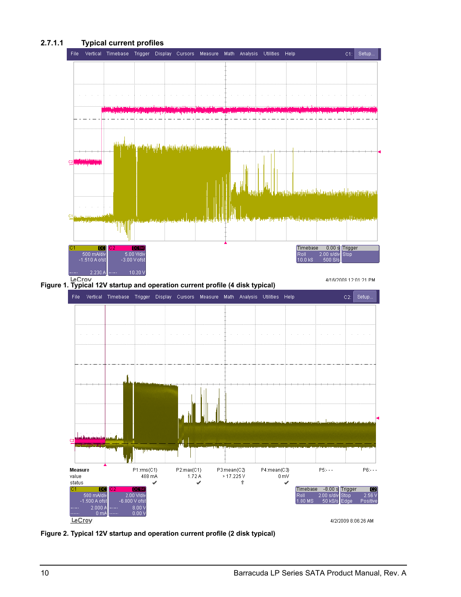

**2.7.1.1 Typical current profiles** 

**Figure 2. Typical 12V startup and operation current profile (2 disk typical)**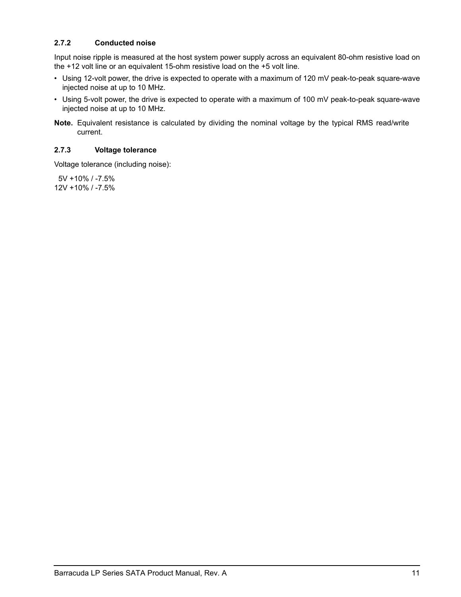### <span id="page-16-4"></span><span id="page-16-2"></span><span id="page-16-0"></span>**2.7.2 Conducted noise**

<span id="page-16-3"></span>Input noise ripple is measured at the host system power supply across an equivalent 80-ohm resistive load on the +12 volt line or an equivalent 15-ohm resistive load on the +5 volt line.

- Using 12-volt power, the drive is expected to operate with a maximum of 120 mV peak-to-peak square-wave injected noise at up to 10 MHz.
- Using 5-volt power, the drive is expected to operate with a maximum of 100 mV peak-to-peak square-wave injected noise at up to 10 MHz.
- <span id="page-16-5"></span>**Note.** Equivalent resistance is calculated by dividing the nominal voltage by the typical RMS read/write current.

#### <span id="page-16-6"></span><span id="page-16-1"></span>**2.7.3 Voltage tolerance**

Voltage tolerance (including noise):

 5V +10% / -7.5% 12V +10% / -7.5%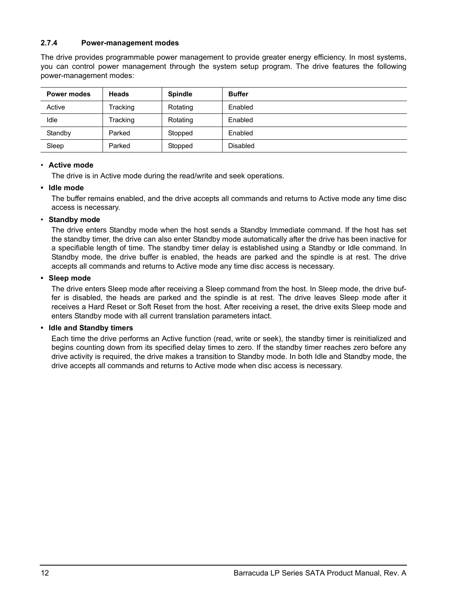#### <span id="page-17-6"></span><span id="page-17-0"></span>**2.7.4 Power-management modes**

<span id="page-17-7"></span>The drive provides programmable power management to provide greater energy efficiency. In most systems, you can control power management through the system setup program. The drive features the following power-management modes:

<span id="page-17-10"></span><span id="page-17-5"></span><span id="page-17-3"></span><span id="page-17-1"></span>

| <b>Power modes</b> | <b>Heads</b> | <b>Spindle</b> | <b>Buffer</b>   |
|--------------------|--------------|----------------|-----------------|
| Active             | Tracking     | Rotating       | Enabled         |
| Idle               | Tracking     | Rotating       | Enabled         |
| Standby            | Parked       | Stopped        | Enabled         |
| Sleep              | Parked       | Stopped        | <b>Disabled</b> |

#### <span id="page-17-8"></span><span id="page-17-2"></span>• **Active mode**

<span id="page-17-4"></span>The drive is in Active mode during the read/write and seek operations.

#### **• Idle mode**

The buffer remains enabled, and the drive accepts all commands and returns to Active mode any time disc access is necessary.

#### <span id="page-17-11"></span>• **Standby mode**

<span id="page-17-13"></span><span id="page-17-12"></span>The drive enters Standby mode when the host sends a Standby Immediate command. If the host has set the standby timer, the drive can also enter Standby mode automatically after the drive has been inactive for a specifiable length of time. The standby timer delay is established using a Standby or Idle command. In Standby mode, the drive buffer is enabled, the heads are parked and the spindle is at rest. The drive accepts all commands and returns to Active mode any time disc access is necessary.

#### <span id="page-17-9"></span>**• Sleep mode**

The drive enters Sleep mode after receiving a Sleep command from the host. In Sleep mode, the drive buffer is disabled, the heads are parked and the spindle is at rest. The drive leaves Sleep mode after it receives a Hard Reset or Soft Reset from the host. After receiving a reset, the drive exits Sleep mode and enters Standby mode with all current translation parameters intact.

#### **• Idle and Standby timers**

<span id="page-17-14"></span>Each time the drive performs an Active function (read, write or seek), the standby timer is reinitialized and begins counting down from its specified delay times to zero. If the standby timer reaches zero before any drive activity is required, the drive makes a transition to Standby mode. In both Idle and Standby mode, the drive accepts all commands and returns to Active mode when disc access is necessary.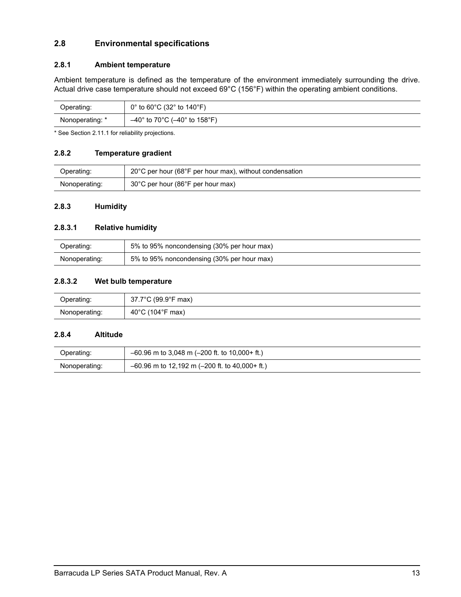## <span id="page-18-8"></span><span id="page-18-0"></span>**2.8 Environmental specifications**

### <span id="page-18-11"></span><span id="page-18-6"></span><span id="page-18-1"></span>**2.8.1 Ambient temperature**

<span id="page-18-7"></span>Ambient temperature is defined as the temperature of the environment immediately surrounding the drive. Actual drive case temperature should not exceed 69°C (156°F) within the operating ambient conditions.

| Operating:      | 0° to 60°C (32° to 140°F)                                             |
|-----------------|-----------------------------------------------------------------------|
| Nonoperating: * | $-40^{\circ}$ to 70 $^{\circ}$ C ( $-40^{\circ}$ to 158 $^{\circ}$ F) |

\* See [Section 2.11.1](#page-21-1) for reliability projections.

#### <span id="page-18-12"></span><span id="page-18-2"></span>**2.8.2 Temperature gradient**

| Operating:    | $20^{\circ}$ C per hour (68 $^{\circ}$ F per hour max), without condensation |
|---------------|------------------------------------------------------------------------------|
| Nonoperating: | 30°C per hour (86°F per hour max)                                            |

### <span id="page-18-9"></span><span id="page-18-3"></span>**2.8.3 Humidity**

#### <span id="page-18-10"></span>**2.8.3.1 Relative humidity**

| Operating:    | 5% to 95% noncondensing (30% per hour max) |
|---------------|--------------------------------------------|
| Nonoperating: | 5% to 95% noncondensing (30% per hour max) |

#### <span id="page-18-13"></span>**2.8.3.2 Wet bulb temperature**

| Operating:    | 37.7°C (99.9°F max)                            |
|---------------|------------------------------------------------|
| Nonoperating: | $(104^{\circ}F \text{ max})$<br>$40^{\circ}$ C |

#### <span id="page-18-5"></span><span id="page-18-4"></span>**2.8.4 Altitude**

| Operating:    | $-60.96$ m to 3,048 m (-200 ft. to 10,000+ ft.)     |
|---------------|-----------------------------------------------------|
| Nonoperating: | $-60.96$ m to 12,192 m ( $-200$ ft. to 40,000+ ft.) |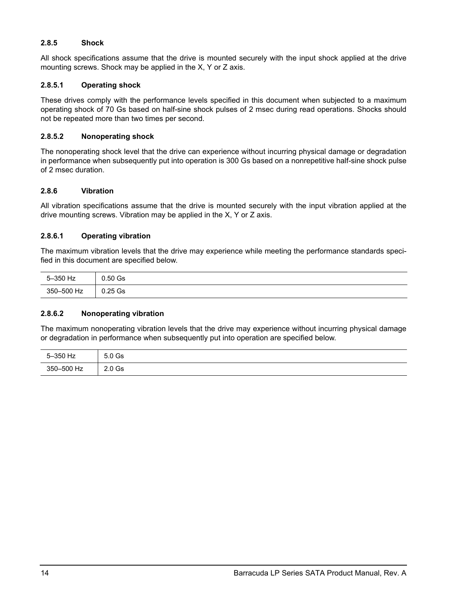### <span id="page-19-10"></span><span id="page-19-0"></span>**2.8.5 Shock**

<span id="page-19-9"></span><span id="page-19-4"></span>All shock specifications assume that the drive is mounted securely with the input shock applied at the drive mounting screws. Shock may be applied in the X, Y or Z axis.

### <span id="page-19-7"></span>**2.8.5.1 Operating shock**

These drives comply with the performance levels specified in this document when subjected to a maximum operating shock of 70 Gs based on half-sine shock pulses of 2 msec during read operations. Shocks should not be repeated more than two times per second.

### <span id="page-19-5"></span>**2.8.5.2 Nonoperating shock**

The nonoperating shock level that the drive can experience without incurring physical damage or degradation in performance when subsequently put into operation is 300 Gs based on a nonrepetitive half-sine shock pulse of 2 msec duration.

### <span id="page-19-11"></span><span id="page-19-1"></span>**2.8.6 Vibration**

All vibration specifications assume that the drive is mounted securely with the input vibration applied at the drive mounting screws. Vibration may be applied in the X, Y or Z axis.

#### <span id="page-19-8"></span>**2.8.6.1 Operating vibration**

The maximum vibration levels that the drive may experience while meeting the performance standards specified in this document are specified below.

| 5-350 Hz   | 0.50 Gs   |
|------------|-----------|
| 350-500 Hz | $0.25$ Gs |

#### <span id="page-19-6"></span>**2.8.6.2 Nonoperating vibration**

The maximum nonoperating vibration levels that the drive may experience without incurring physical damage or degradation in performance when subsequently put into operation are specified below.

<span id="page-19-3"></span><span id="page-19-2"></span>

| 5-350 Hz   | $5.0$ Gs          |
|------------|-------------------|
| 350-500 Hz | 2.0 <sub>GS</sub> |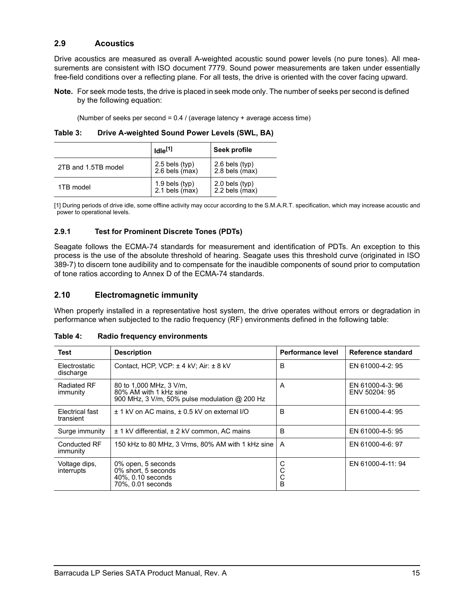## <span id="page-20-3"></span><span id="page-20-0"></span>**2.9 Acoustics**

Drive acoustics are measured as overall A-weighted acoustic sound power levels (no pure tones). All measurements are consistent with ISO document 7779. Sound power measurements are taken under essentially free-field conditions over a reflecting plane. For all tests, the drive is oriented with the cover facing upward.

**Note.** For seek mode tests, the drive is placed in seek mode only. The number of seeks per second is defined by the following equation:

<span id="page-20-13"></span><span id="page-20-8"></span>(Number of seeks per second =  $0.4$  / (average latency + average access time)

|                     | Idle <sup>[1]</sup>                    | Seek profile                           |
|---------------------|----------------------------------------|----------------------------------------|
| 2TB and 1.5TB model | $2.5$ bels (typ)<br>$2.6$ bels $(max)$ | $2.6$ bels (typ)<br>$2.8$ bels $(max)$ |
| 1TB model           | $1.9$ bels (typ)<br>$2.1$ bels $(max)$ | $2.0$ bels (typ)<br>$2.2$ bels $(max)$ |

**Table 3: Drive A-weighted Sound Power Levels (SWL, BA)**

[1] During periods of drive idle, some offline activity may occur according to the S.M.A.R.T. specification, which may increase acoustic and power to operational levels*.*

### <span id="page-20-9"></span><span id="page-20-1"></span>**2.9.1 Test for Prominent Discrete Tones (PDTs)**

Seagate follows the ECMA-74 standards for measurement and identification of PDTs. An exception to this process is the use of the absolute threshold of hearing. Seagate uses this threshold curve (originated in ISO 389-7) to discern tone audibility and to compensate for the inaudible components of sound prior to computation of tone ratios according to Annex D of the ECMA-74 standards.

## <span id="page-20-6"></span><span id="page-20-2"></span>**2.10 Electromagnetic immunity**

<span id="page-20-12"></span><span id="page-20-11"></span>When properly installed in a representative host system, the drive operates without errors or degradation in performance when subjected to the radio frequency (RF) environments defined in the following table:

| Table 4: | Radio frequency environments |  |
|----------|------------------------------|--|
|----------|------------------------------|--|

<span id="page-20-15"></span><span id="page-20-14"></span><span id="page-20-10"></span><span id="page-20-7"></span><span id="page-20-5"></span><span id="page-20-4"></span>

| Test                              | <b>Description</b>                                                                                 | Performance level | Reference standard                |
|-----------------------------------|----------------------------------------------------------------------------------------------------|-------------------|-----------------------------------|
| <b>Flectrostatic</b><br>discharge | Contact, HCP, VCP: $\pm$ 4 kV; Air: $\pm$ 8 kV                                                     | B                 | EN 61000-4-2: 95                  |
| <b>Radiated RF</b><br>immunity    | 80 to 1,000 MHz, 3 V/m,<br>80% AM with 1 kHz sine<br>900 MHz, 3 V/m, 50% pulse modulation @ 200 Hz | A                 | EN 61000-4-3: 96<br>ENV 50204: 95 |
| Electrical fast<br>transient      | ± 1 kV on AC mains, ± 0.5 kV on external I/O                                                       | B                 | EN 61000-4-4: 95                  |
| Surge immunity                    | ± 1 kV differential, ± 2 kV common, AC mains                                                       | <sub>B</sub>      | EN 61000-4-5: 95                  |
| Conducted RF<br>immunity          | 150 kHz to 80 MHz, 3 Vrms, 80% AM with 1 kHz sine                                                  | A                 | EN 61000-4-6: 97                  |
| Voltage dips,<br>interrupts       | 0% open, 5 seconds<br>0% short, 5 seconds<br>40%, 0.10 seconds<br>70%, 0.01 seconds                | С<br>С<br>С<br>B  | EN 61000-4-11: 94                 |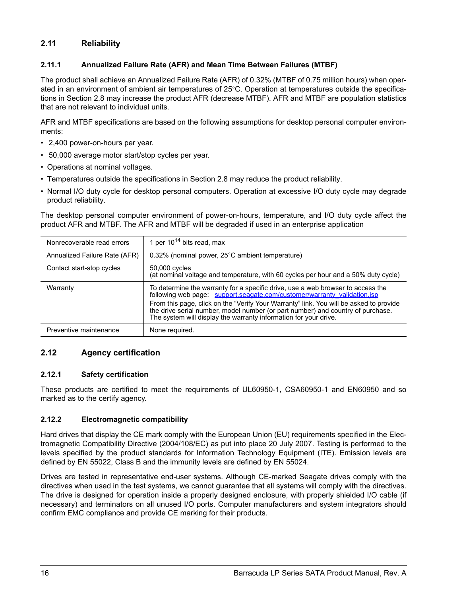# <span id="page-21-32"></span><span id="page-21-0"></span>**2.11 Reliability**

### <span id="page-21-28"></span><span id="page-21-27"></span><span id="page-21-7"></span><span id="page-21-5"></span><span id="page-21-1"></span>**2.11.1 Annualized Failure Rate (AFR) and Mean Time Between Failures (MTBF)**

The product shall achieve an Annualized Failure Rate (AFR) of 0.32% (MTBF of 0.75 million hours) when operated in an environment of ambient air temperatures of 25°C. Operation at temperatures outside the specifications in [Section 2.8](#page-18-0) may increase the product AFR (decrease MTBF). AFR and MTBF are population statistics that are not relevant to individual units.

AFR and MTBF specifications are based on the following assumptions for desktop personal computer environments:

- <span id="page-21-30"></span>• 2,400 power-on-hours per year.
- 50,000 average motor start/stop cycles per year.
- Operations at nominal voltages.
- <span id="page-21-23"></span><span id="page-21-14"></span>• Temperatures outside the specifications in [Section 2.8](#page-18-0) may reduce the product reliability.
- Normal I/O duty cycle for desktop personal computers. Operation at excessive I/O duty cycle may degrade product reliability.

The desktop personal computer environment of power-on-hours, temperature, and I/O duty cycle affect the product AFR and MTBF. The AFR and MTBF will be degraded if used in an enterprise application

<span id="page-21-36"></span><span id="page-21-34"></span><span id="page-21-31"></span><span id="page-21-29"></span><span id="page-21-20"></span><span id="page-21-13"></span><span id="page-21-8"></span>

| Nonrecoverable read errors    | 1 per $10^{14}$ bits read, max                                                                                                                                                                                                                                                                                                                                                                               |
|-------------------------------|--------------------------------------------------------------------------------------------------------------------------------------------------------------------------------------------------------------------------------------------------------------------------------------------------------------------------------------------------------------------------------------------------------------|
| Annualized Failure Rate (AFR) | 0.32% (nominal power, 25°C ambient temperature)                                                                                                                                                                                                                                                                                                                                                              |
| Contact start-stop cycles     | 50,000 cycles<br>(at nominal voltage and temperature, with 60 cycles per hour and a 50% duty cycle)                                                                                                                                                                                                                                                                                                          |
| Warranty                      | To determine the warranty for a specific drive, use a web browser to access the<br>following web page: support.seagate.com/customer/warranty validation.isp<br>From this page, click on the "Verify Your Warranty" link. You will be asked to provide<br>the drive serial number, model number (or part number) and country of purchase.<br>The system will display the warranty information for your drive. |
| Preventive maintenance        | None required.                                                                                                                                                                                                                                                                                                                                                                                               |

## <span id="page-21-26"></span><span id="page-21-10"></span><span id="page-21-6"></span><span id="page-21-2"></span>**2.12 Agency certification**

#### <span id="page-21-33"></span><span id="page-21-3"></span>**2.12.1 Safety certification**

<span id="page-21-35"></span><span id="page-21-19"></span><span id="page-21-12"></span>These products are certified to meet the requirements of UL60950-1, CSA60950-1 and EN60950 and so marked as to the certify agency.

#### <span id="page-21-15"></span><span id="page-21-11"></span><span id="page-21-4"></span>**2.12.2 Electromagnetic compatibility**

<span id="page-21-25"></span><span id="page-21-24"></span><span id="page-21-22"></span><span id="page-21-21"></span><span id="page-21-18"></span><span id="page-21-17"></span><span id="page-21-16"></span><span id="page-21-9"></span>Hard drives that display the CE mark comply with the European Union (EU) requirements specified in the Electromagnetic Compatibility Directive (2004/108/EC) as put into place 20 July 2007. Testing is performed to the levels specified by the product standards for Information Technology Equipment (ITE). Emission levels are defined by EN 55022, Class B and the immunity levels are defined by EN 55024.

Drives are tested in representative end-user systems. Although CE-marked Seagate drives comply with the directives when used in the test systems, we cannot guarantee that all systems will comply with the directives. The drive is designed for operation inside a properly designed enclosure, with properly shielded I/O cable (if necessary) and terminators on all unused I/O ports. Computer manufacturers and system integrators should confirm EMC compliance and provide CE marking for their products.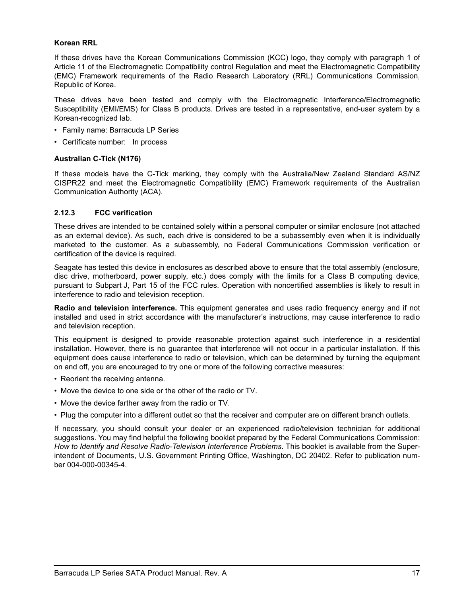#### <span id="page-22-14"></span><span id="page-22-12"></span>**Korean RRL**

<span id="page-22-11"></span><span id="page-22-10"></span><span id="page-22-6"></span><span id="page-22-5"></span>If these drives have the Korean Communications Commission (KCC) logo, they comply with paragraph 1 of Article 11 of the Electromagnetic Compatibility control Regulation and meet the Electromagnetic Compatibility (EMC) Framework requirements of the Radio Research Laboratory (RRL) Communications Commission, Republic of Korea.

These drives have been tested and comply with the Electromagnetic Interference/Electromagnetic Susceptibility (EMI/EMS) for Class B products. Drives are tested in a representative, end-user system by a Korean-recognized lab.

- Family name: Barracuda LP Series
- Certificate number: In process

#### <span id="page-22-4"></span>**Australian C-Tick (N176)**

<span id="page-22-3"></span><span id="page-22-2"></span><span id="page-22-1"></span>If these models have the C-Tick marking, they comply with the Australia/New Zealand Standard AS/NZ CISPR22 and meet the Electromagnetic Compatibility (EMC) Framework requirements of the Australian Communication Authority (ACA).

#### <span id="page-22-8"></span><span id="page-22-0"></span>**2.12.3 FCC verification**

<span id="page-22-15"></span>These drives are intended to be contained solely within a personal computer or similar enclosure (not attached as an external device). As such, each drive is considered to be a subassembly even when it is individually marketed to the customer. As a subassembly, no Federal Communications Commission verification or certification of the device is required.

<span id="page-22-7"></span>Seagate has tested this device in enclosures as described above to ensure that the total assembly (enclosure, disc drive, motherboard, power supply, etc.) does comply with the limits for a Class B computing device, pursuant to Subpart J, Part 15 of the FCC rules. Operation with noncertified assemblies is likely to result in interference to radio and television reception.

<span id="page-22-13"></span><span id="page-22-9"></span>**Radio and television interference.** This equipment generates and uses radio frequency energy and if not installed and used in strict accordance with the manufacturer's instructions, may cause interference to radio and television reception.

This equipment is designed to provide reasonable protection against such interference in a residential installation. However, there is no guarantee that interference will not occur in a particular installation. If this equipment does cause interference to radio or television, which can be determined by turning the equipment on and off, you are encouraged to try one or more of the following corrective measures:

- Reorient the receiving antenna.
- Move the device to one side or the other of the radio or TV.
- Move the device farther away from the radio or TV.
- Plug the computer into a different outlet so that the receiver and computer are on different branch outlets.

If necessary, you should consult your dealer or an experienced radio/television technician for additional suggestions. You may find helpful the following booklet prepared by the Federal Communications Commission: *How to Identify and Resolve Radio-Television Interference Problems*. This booklet is available from the Superintendent of Documents, U.S. Government Printing Office, Washington, DC 20402. Refer to publication number 004-000-00345-4.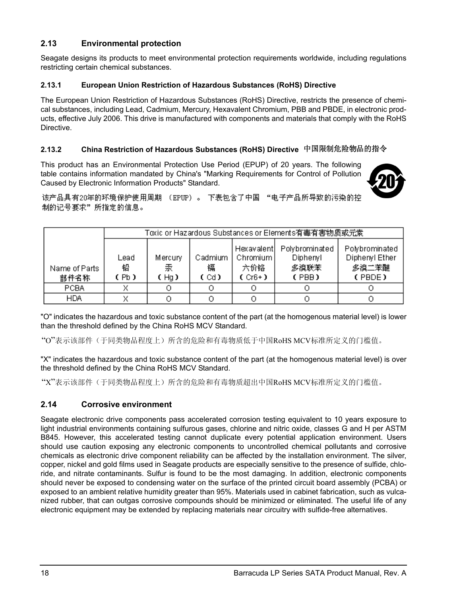# <span id="page-23-0"></span>**2.13 Environmental protection**

Seagate designs its products to meet environmental protection requirements worldwide, including regulations restricting certain chemical substances.

### <span id="page-23-6"></span><span id="page-23-1"></span>**2.13.1 European Union Restriction of Hazardous Substances (RoHS) Directive**

The European Union Restriction of Hazardous Substances (RoHS) Directive, restricts the presence of chemical substances, including Lead, Cadmium, Mercury, Hexavalent Chromium, PBB and PBDE, in electronic products, effective July 2006. This drive is manufactured with components and materials that comply with the RoHS Directive.

## <span id="page-23-4"></span><span id="page-23-2"></span>**2.13.2 China Restriction of Hazardous Substances (RoHS) Directive**  中国限制危险物品的指令

This product has an Environmental Protection Use Period (EPUP) of 20 years. The following table contains information mandated by China's "Marking Requirements for Control of Pollution Caused by Electronic Information Products" Standard.

<span id="page-23-7"></span>

该产品具有20年的环境保护使用周期 (EPUP)。 下表包含了中国 "电子产品所导致的污染的控 制的记号要求"所指定的信息。

|                       | Toxic or Hazardous Substances or Elements有毒有害物质或元素 |                      |                      |                                            |                                             |                                                     |
|-----------------------|----------------------------------------------------|----------------------|----------------------|--------------------------------------------|---------------------------------------------|-----------------------------------------------------|
| Name of Parts<br>部件名称 | Lead<br>铅<br>(Pb)                                  | Mercury<br>汞<br>(Hg) | Cadmium<br>镉<br>(Cd) | Hexavalent<br>Chromium<br>六价铬<br>$(Cr6+1)$ | Polybrominated<br>Diphenyl<br>多溴联苯<br>(PBB) | Polybrominated<br>Diphenyl Ether<br>多溴二苯醚<br>(PBDE) |
| PCBA                  |                                                    |                      |                      |                                            |                                             |                                                     |
| <b>HDA</b>            |                                                    |                      |                      |                                            |                                             |                                                     |

"O" indicates the hazardous and toxic substance content of the part (at the homogenous material level) is lower than the threshold defined by the China RoHS MCV Standard.

"O"表示该部件(于同类物品程度上)所含的危险和有毒物质低于中国RoHS MCV标准所定义的门槛值。

"X" indicates the hazardous and toxic substance content of the part (at the homogenous material level) is over the threshold defined by the China RoHS MCV Standard.

"X"表示该部件(于同类物品程度上)所含的危险和有毒物质超出中国RoHS MCV标准所定义的门槛值。

## <span id="page-23-5"></span><span id="page-23-3"></span>**2.14 Corrosive environment**

Seagate electronic drive components pass accelerated corrosion testing equivalent to 10 years exposure to light industrial environments containing sulfurous gases, chlorine and nitric oxide, classes G and H per ASTM B845. However, this accelerated testing cannot duplicate every potential application environment. Users should use caution exposing any electronic components to uncontrolled chemical pollutants and corrosive chemicals as electronic drive component reliability can be affected by the installation environment. The silver, copper, nickel and gold films used in Seagate products are especially sensitive to the presence of sulfide, chloride, and nitrate contaminants. Sulfur is found to be the most damaging. In addition, electronic components should never be exposed to condensing water on the surface of the printed circuit board assembly (PCBA) or exposed to an ambient relative humidity greater than 95%. Materials used in cabinet fabrication, such as vulcanized rubber, that can outgas corrosive compounds should be minimized or eliminated. The useful life of any electronic equipment may be extended by replacing materials near circuitry with sulfide-free alternatives.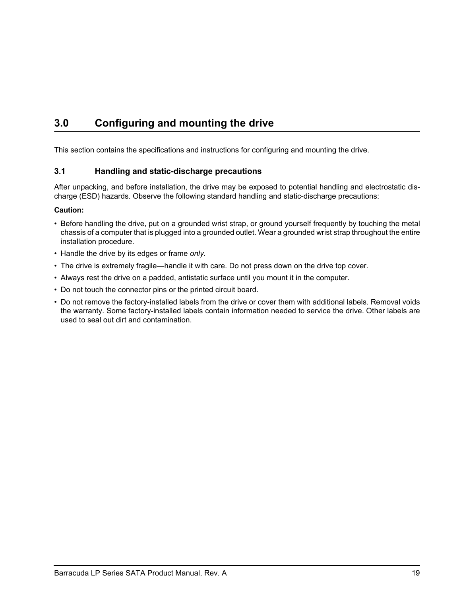# <span id="page-24-6"></span><span id="page-24-2"></span><span id="page-24-0"></span>**3.0 Configuring and mounting the drive**

This section contains the specifications and instructions for configuring and mounting the drive.

## <span id="page-24-9"></span><span id="page-24-7"></span><span id="page-24-5"></span><span id="page-24-1"></span>**3.1 Handling and static-discharge precautions**

<span id="page-24-4"></span><span id="page-24-3"></span>After unpacking, and before installation, the drive may be exposed to potential handling and electrostatic discharge (ESD) hazards. Observe the following standard handling and static-discharge precautions:

### **Caution:**

- Before handling the drive, put on a grounded wrist strap, or ground yourself frequently by touching the metal chassis of a computer that is plugged into a grounded outlet. Wear a grounded wrist strap throughout the entire installation procedure.
- Handle the drive by its edges or frame *only*.
- The drive is extremely fragile—handle it with care. Do not press down on the drive top cover.
- Always rest the drive on a padded, antistatic surface until you mount it in the computer.
- <span id="page-24-8"></span>• Do not touch the connector pins or the printed circuit board.
- Do not remove the factory-installed labels from the drive or cover them with additional labels. Removal voids the warranty. Some factory-installed labels contain information needed to service the drive. Other labels are used to seal out dirt and contamination.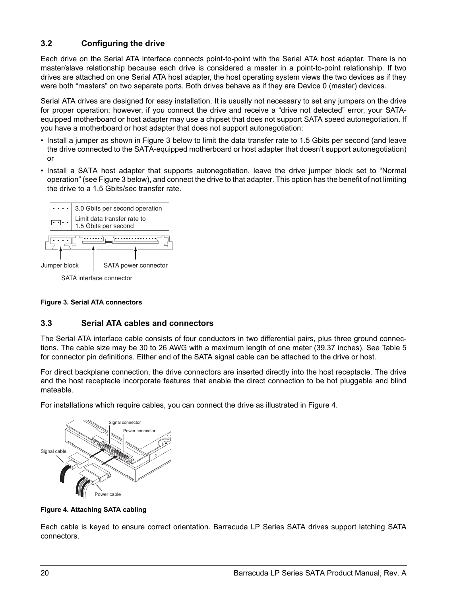# <span id="page-25-6"></span><span id="page-25-0"></span>**3.2 Configuring the drive**

Each drive on the Serial ATA interface connects point-to-point with the Serial ATA host adapter. There is no master/slave relationship because each drive is considered a master in a point-to-point relationship. If two drives are attached on one Serial ATA host adapter, the host operating system views the two devices as if they were both "masters" on two separate ports. Both drives behave as if they are Device 0 (master) devices.

Serial ATA drives are designed for easy installation. It is usually not necessary to set any jumpers on the drive for proper operation; however, if you connect the drive and receive a "drive not detected" error, your SATAequipped motherboard or host adapter may use a chipset that does not support SATA speed autonegotiation. If you have a motherboard or host adapter that does not support autonegotiation:

- Install a jumper as shown in Figure [3](#page-25-2) below to limit the data transfer rate to 1.5 Gbits per second (and leave the drive connected to the SATA-equipped motherboard or host adapter that doesn't support autonegotiation) or
- Install a SATA host adapter that supports autonegotiation, leave the drive jumper block set to "Normal operation" (see Figure [3](#page-25-2) below), and connect the drive to that adapter. This option has the benefit of not limiting the drive to a 1.5 Gbits/sec transfer rate.



<span id="page-25-5"></span><span id="page-25-4"></span>SATA interface connector

#### <span id="page-25-2"></span>**Figure 3. Serial ATA connectors**

## <span id="page-25-1"></span>**3.3 Serial ATA cables and connectors**

The Serial ATA interface cable consists of four conductors in two differential pairs, plus three ground connections. The cable size may be 30 to 26 AWG with a maximum length of one meter (39.37 inches). See Table 5 for connector pin definitions. Either end of the SATA signal cable can be attached to the drive or host.

For direct backplane connection, the drive connectors are inserted directly into the host receptacle. The drive and the host receptacle incorporate features that enable the direct connection to be hot pluggable and blind mateable.

For installations which require cables, you can connect the drive as illustrated in Figure [4](#page-25-3).



<span id="page-25-3"></span>**Figure 4. Attaching SATA cabling**

Each cable is keyed to ensure correct orientation. Barracuda LP Series SATA drives support latching SATA connectors.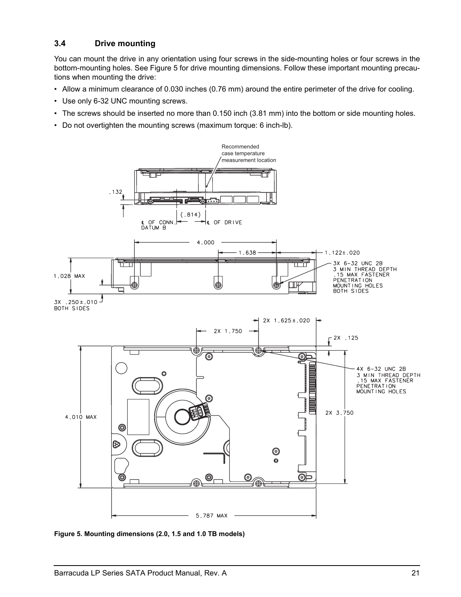## <span id="page-26-3"></span><span id="page-26-0"></span>**3.4 Drive mounting**

You can mount the drive in any orientation using four screws in the side-mounting holes or four screws in the bottom-mounting holes. See Figure [5](#page-26-1) for drive mounting dimensions. Follow these important mounting precautions when mounting the drive:

- Allow a minimum clearance of 0.030 inches (0.76 mm) around the entire perimeter of the drive for cooling.
- Use only 6-32 UNC mounting screws.
- The screws should be inserted no more than 0.150 inch (3.81 mm) into the bottom or side mounting holes.
- Do not overtighten the mounting screws (maximum torque: 6 inch-lb).



<span id="page-26-2"></span><span id="page-26-1"></span>**Figure 5. Mounting dimensions (2.0, 1.5 and 1.0 TB models)**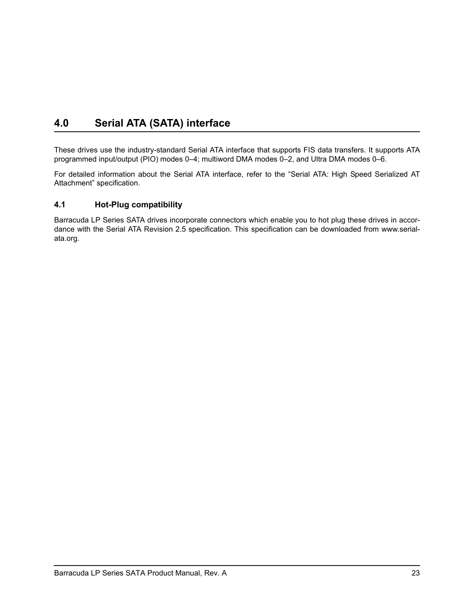# <span id="page-28-4"></span><span id="page-28-3"></span><span id="page-28-2"></span><span id="page-28-0"></span>**4.0 Serial ATA (SATA) interface**

These drives use the industry-standard Serial ATA interface that supports FIS data transfers. It supports ATA programmed input/output (PIO) modes 0–4; multiword DMA modes 0–2, and Ultra DMA modes 0–6.

For detailed information about the Serial ATA interface, refer to the "Serial ATA: High Speed Serialized AT Attachment" specification.

## <span id="page-28-1"></span>**4.1 Hot-Plug compatibility**

Barracuda LP Series SATA drives incorporate connectors which enable you to hot plug these drives in accordance with the Serial ATA Revision 2.5 specification. This specification can be downloaded from www.serialata.org.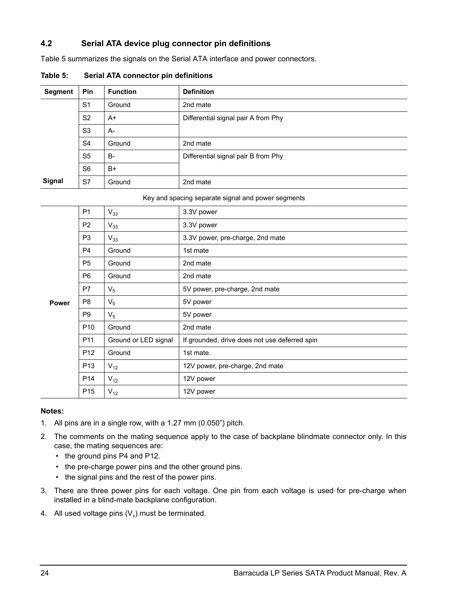## <span id="page-29-0"></span>**4.2 Serial ATA device plug connector pin definitions**

Table 5 summarizes the signals on the Serial ATA interface and power connectors.

| <b>Segment</b> | Pin            | <b>Function</b> | <b>Definition</b>                   |
|----------------|----------------|-----------------|-------------------------------------|
|                | S <sub>1</sub> | Ground          | 2nd mate                            |
|                | S <sub>2</sub> | A+              | Differential signal pair A from Phy |
|                | S <sub>3</sub> | $A-$            |                                     |
|                | S <sub>4</sub> | Ground          | 2nd mate                            |
|                | S <sub>5</sub> | <b>B-</b>       | Differential signal pair B from Phy |
|                | S <sub>6</sub> | $B+$            |                                     |
| Signal         | S7             | Ground          | 2nd mate                            |

**Table 5: Serial ATA connector pin definitions**

#### Key and spacing separate signal and power segments

|       | P <sub>1</sub>  | $V_{33}$             | 3.3V power                                    |
|-------|-----------------|----------------------|-----------------------------------------------|
|       | P <sub>2</sub>  | $V_{33}$             | 3.3V power                                    |
|       | P <sub>3</sub>  | $V_{33}$             | 3.3V power, pre-charge, 2nd mate              |
|       | P <sub>4</sub>  | Ground               | 1st mate                                      |
|       | P <sub>5</sub>  | Ground               | 2nd mate                                      |
|       | P <sub>6</sub>  | Ground               | 2nd mate                                      |
|       | P7              | $V_5$                | 5V power, pre-charge, 2nd mate                |
| Power | P <sub>8</sub>  | $V_5$                | 5V power                                      |
|       | P <sub>9</sub>  | $V_5$                | 5V power                                      |
|       | P <sub>10</sub> | Ground               | 2nd mate                                      |
|       | P <sub>11</sub> | Ground or LED signal | If grounded, drive does not use deferred spin |
|       | P <sub>12</sub> | Ground               | 1st mate.                                     |
|       | P <sub>13</sub> | $V_{12}$             | 12V power, pre-charge, 2nd mate               |
|       | P <sub>14</sub> | $V_{12}$             | 12V power                                     |
|       | P <sub>15</sub> | $V_{12}$             | 12V power                                     |

#### **Notes:**

- 1. All pins are in a single row, with a 1.27 mm (0.050") pitch.
- 2. The comments on the mating sequence apply to the case of backplane blindmate connector only. In this case, the mating sequences are:
	- the ground pins P4 and P12.
	- the pre-charge power pins and the other ground pins.
	- the signal pins and the rest of the power pins.
- 3. There are three power pins for each voltage. One pin from each voltage is used for pre-charge when installed in a blind-mate backplane configuration.
- 4. All used voltage pins  $(V_x)$  must be terminated.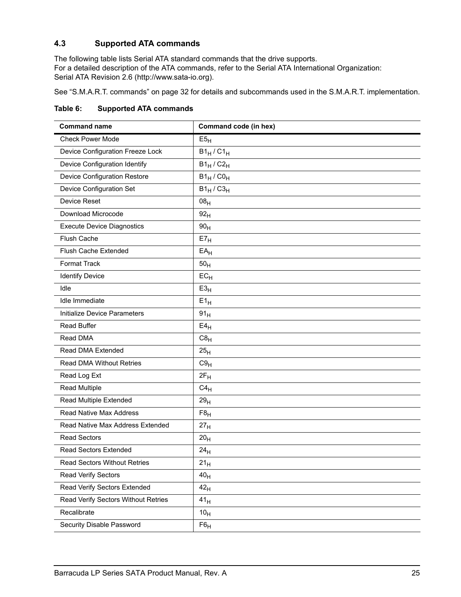# <span id="page-30-1"></span><span id="page-30-0"></span>**4.3 Supported ATA commands**

The following table lists Serial ATA standard commands that the drive supports. For a detailed description of the ATA commands, refer to the Serial ATA International Organization: Serial ATA Revision 2.6 (http://www.sata-io.org).

<span id="page-30-35"></span><span id="page-30-33"></span>[See "S.M.A.R.T. commands" on page 32](#page-37-0) for details and subcommands used in the S.M.A.R.T. implementation.

| Table 6: | <b>Supported ATA commands</b> |
|----------|-------------------------------|
|----------|-------------------------------|

<span id="page-30-34"></span><span id="page-30-32"></span><span id="page-30-31"></span><span id="page-30-30"></span><span id="page-30-29"></span><span id="page-30-28"></span><span id="page-30-27"></span><span id="page-30-26"></span><span id="page-30-25"></span><span id="page-30-24"></span><span id="page-30-23"></span><span id="page-30-22"></span><span id="page-30-21"></span><span id="page-30-20"></span><span id="page-30-19"></span><span id="page-30-18"></span><span id="page-30-17"></span><span id="page-30-16"></span><span id="page-30-15"></span><span id="page-30-14"></span><span id="page-30-13"></span><span id="page-30-12"></span><span id="page-30-11"></span><span id="page-30-10"></span><span id="page-30-9"></span><span id="page-30-8"></span><span id="page-30-7"></span><span id="page-30-6"></span><span id="page-30-5"></span><span id="page-30-4"></span><span id="page-30-3"></span><span id="page-30-2"></span>

| <b>Command name</b>                 | Command code (in hex) |
|-------------------------------------|-----------------------|
| <b>Check Power Mode</b>             | E5 <sub>H</sub>       |
| Device Configuration Freeze Lock    | $B1_H$ / $C1_H$       |
| Device Configuration Identify       | $B1_H / C2_H$         |
| <b>Device Configuration Restore</b> | $B1_H / CO_H$         |
| Device Configuration Set            | $B1_H$ / $C3_H$       |
| Device Reset                        | 08 <sub>H</sub>       |
| Download Microcode                  | 92 <sub>H</sub>       |
| <b>Execute Device Diagnostics</b>   | 90 <sub>H</sub>       |
| <b>Flush Cache</b>                  | E7 <sub>H</sub>       |
| <b>Flush Cache Extended</b>         | $EA$ H                |
| Format Track                        | 50 <sub>H</sub>       |
| <b>Identify Device</b>              | $EC_{H}$              |
| Idle                                | E3 <sub>H</sub>       |
| Idle Immediate                      | $E1_H$                |
| Initialize Device Parameters        | 91 <sub>H</sub>       |
| <b>Read Buffer</b>                  | E4 <sub>H</sub>       |
| Read DMA                            | $C8_H$                |
| Read DMA Extended                   | 25 <sub>H</sub>       |
| Read DMA Without Retries            | C9 <sub>H</sub>       |
| Read Log Ext                        | $2F_H$                |
| <b>Read Multiple</b>                | $C4_H$                |
| Read Multiple Extended              | 29 <sub>H</sub>       |
| Read Native Max Address             | F8 <sub>H</sub>       |
| Read Native Max Address Extended    | 27 <sub>H</sub>       |
| <b>Read Sectors</b>                 | 20 <sub>H</sub>       |
| <b>Read Sectors Extended</b>        | 24 <sub>H</sub>       |
| <b>Read Sectors Without Retries</b> | 21 <sub>H</sub>       |
| Read Verify Sectors                 | 40 <sub>H</sub>       |
| Read Verify Sectors Extended        | 42 <sub>H</sub>       |
| Read Verify Sectors Without Retries | 41 <sub>H</sub>       |
| Recalibrate                         | 10 <sub>H</sub>       |
| Security Disable Password           | $F6_H$                |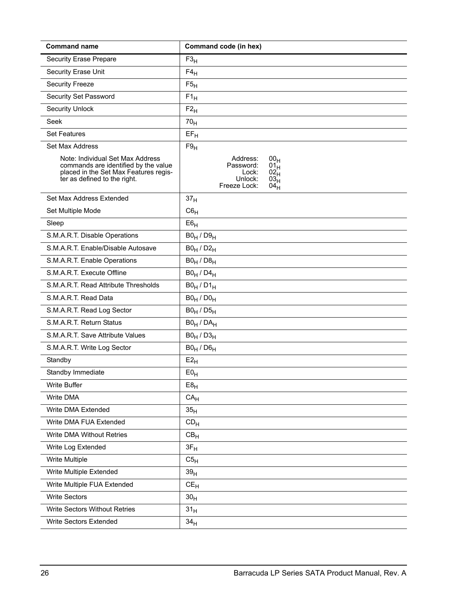<span id="page-31-34"></span><span id="page-31-33"></span><span id="page-31-32"></span><span id="page-31-31"></span><span id="page-31-30"></span><span id="page-31-29"></span><span id="page-31-28"></span><span id="page-31-27"></span><span id="page-31-26"></span><span id="page-31-25"></span><span id="page-31-24"></span><span id="page-31-23"></span><span id="page-31-22"></span><span id="page-31-21"></span><span id="page-31-20"></span><span id="page-31-19"></span><span id="page-31-18"></span><span id="page-31-17"></span><span id="page-31-16"></span><span id="page-31-15"></span><span id="page-31-14"></span><span id="page-31-13"></span><span id="page-31-12"></span><span id="page-31-11"></span><span id="page-31-10"></span><span id="page-31-9"></span><span id="page-31-8"></span><span id="page-31-7"></span><span id="page-31-6"></span><span id="page-31-5"></span><span id="page-31-4"></span><span id="page-31-3"></span><span id="page-31-2"></span><span id="page-31-1"></span><span id="page-31-0"></span>

| <b>Command name</b>                                                                                                                               | Command code (in hex)                                                                                                                           |
|---------------------------------------------------------------------------------------------------------------------------------------------------|-------------------------------------------------------------------------------------------------------------------------------------------------|
| <b>Security Erase Prepare</b>                                                                                                                     | $F3_H$                                                                                                                                          |
| Security Erase Unit                                                                                                                               | $F4_H$                                                                                                                                          |
| <b>Security Freeze</b>                                                                                                                            | F5 <sub>H</sub>                                                                                                                                 |
| Security Set Password                                                                                                                             | $F1_H$                                                                                                                                          |
| <b>Security Unlock</b>                                                                                                                            | $F2_H$                                                                                                                                          |
| Seek                                                                                                                                              | 70 <sub>H</sub>                                                                                                                                 |
| <b>Set Features</b>                                                                                                                               | $EF_H$                                                                                                                                          |
| Set Max Address                                                                                                                                   | F9 <sub>H</sub>                                                                                                                                 |
| Note: Individual Set Max Address<br>commands are identified by the value<br>placed in the Set Max Features regis-<br>ter as defined to the right. | Address:<br>00 <sub>H</sub><br>Password:<br>01 <sub>H</sub><br>Lock:<br>$02_H$<br>Unlock:<br>03 <sub>H</sub><br>Freeze Lock:<br>04 <sub>H</sub> |
| Set Max Address Extended                                                                                                                          | 37 <sub>H</sub>                                                                                                                                 |
| Set Multiple Mode                                                                                                                                 | $C6_H$                                                                                                                                          |
| Sleep                                                                                                                                             | E6 <sub>H</sub>                                                                                                                                 |
| S.M.A.R.T. Disable Operations                                                                                                                     | $B0_H / D9_H$                                                                                                                                   |
| S.M.A.R.T. Enable/Disable Autosave                                                                                                                | $B0_H / D2_H$                                                                                                                                   |
| S.M.A.R.T. Enable Operations                                                                                                                      | $B0_H / D8_H$                                                                                                                                   |
| S.M.A.R.T. Execute Offline                                                                                                                        | $B0_H$ / $D4_H$                                                                                                                                 |
| S.M.A.R.T. Read Attribute Thresholds                                                                                                              | $B0_H / D1_H$                                                                                                                                   |
| S.M.A.R.T. Read Data                                                                                                                              | $B0_H / D0_H$                                                                                                                                   |
| S.M.A.R.T. Read Log Sector                                                                                                                        | $B0_H / D5_H$                                                                                                                                   |
| S.M.A.R.T. Return Status                                                                                                                          | $B0_H / DA_H$                                                                                                                                   |
| S.M.A.R.T. Save Attribute Values                                                                                                                  | $B0_H / D3_H$                                                                                                                                   |
| S.M.A.R.T. Write Log Sector                                                                                                                       | $B0_H / D6_H$                                                                                                                                   |
| Standby                                                                                                                                           | $E2_H$                                                                                                                                          |
| Standby Immediate                                                                                                                                 | ${\sf E0}_{\sf H}$                                                                                                                              |
| Write Buffer                                                                                                                                      | E8 <sub>H</sub>                                                                                                                                 |
| <b>Write DMA</b>                                                                                                                                  | CA <sub>H</sub>                                                                                                                                 |
| Write DMA Extended                                                                                                                                | 35 <sub>H</sub>                                                                                                                                 |
| Write DMA FUA Extended                                                                                                                            | CD <sub>H</sub>                                                                                                                                 |
| Write DMA Without Retries                                                                                                                         | CB <sub>H</sub>                                                                                                                                 |
| Write Log Extended                                                                                                                                | $3F_H$                                                                                                                                          |
| Write Multiple                                                                                                                                    | C5 <sub>H</sub>                                                                                                                                 |
| Write Multiple Extended                                                                                                                           | 39 <sub>H</sub>                                                                                                                                 |
| Write Multiple FUA Extended                                                                                                                       | $CE_{H}$                                                                                                                                        |
| <b>Write Sectors</b>                                                                                                                              | 30 <sub>H</sub>                                                                                                                                 |
| Write Sectors Without Retries                                                                                                                     | 31 <sub>H</sub>                                                                                                                                 |
| <b>Write Sectors Extended</b>                                                                                                                     | 34 <sub>H</sub>                                                                                                                                 |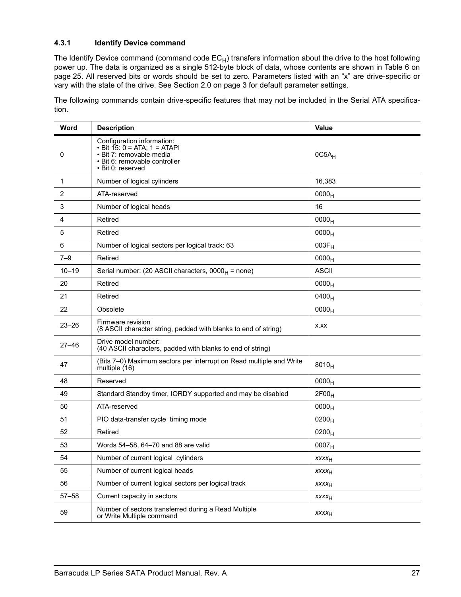## <span id="page-32-1"></span><span id="page-32-0"></span>**4.3.1 Identify Device command**

The Identify Device command (command code  $EC_H$ ) transfers information about the drive to the host following power up. The data is organized as a single 512-byte block of data, whose contents are shown in Table 6 on page 25. All reserved bits or words should be set to zero. Parameters listed with an "x" are drive-specific or vary with the state of the drive. [See Section 2.0 on page 3 f](#page-8-0)or default parameter settings.

The following commands contain drive-specific features that may not be included in the Serial ATA specification.

| Word         | <b>Description</b>                                                                                                                           | Value                    |
|--------------|----------------------------------------------------------------------------------------------------------------------------------------------|--------------------------|
| 0            | Configuration information:<br>• Bit 15: 0 = ATA; 1 = ATAPI<br>• Bit 7: removable media<br>• Bit 6: removable controller<br>• Bit 0: reserved | $0C5A_H$                 |
| $\mathbf{1}$ | Number of logical cylinders                                                                                                                  | 16,383                   |
| 2            | ATA-reserved                                                                                                                                 | 0000 <sub>H</sub>        |
| 3            | Number of logical heads                                                                                                                      | 16                       |
| 4            | Retired                                                                                                                                      | 0000 <sub>H</sub>        |
| 5            | Retired                                                                                                                                      | 0000 <sub>H</sub>        |
| 6            | Number of logical sectors per logical track: 63                                                                                              | $003F_H$                 |
| $7 - 9$      | Retired                                                                                                                                      | 0000 <sub>H</sub>        |
| $10 - 19$    | Serial number: (20 ASCII characters, $0000_H$ = none)                                                                                        | <b>ASCII</b>             |
| 20           | Retired                                                                                                                                      | 0000 <sub>H</sub>        |
| 21           | Retired                                                                                                                                      | 0400 <sub>H</sub>        |
| 22           | Obsolete                                                                                                                                     | 0000 <sub>H</sub>        |
| $23 - 26$    | Firmware revision<br>(8 ASCII character string, padded with blanks to end of string)                                                         | X.XX                     |
| $27 - 46$    | Drive model number:<br>(40 ASCII characters, padded with blanks to end of string)                                                            |                          |
| 47           | (Bits 7-0) Maximum sectors per interrupt on Read multiple and Write<br>multiple (16)                                                         | $8010_H$                 |
| 48           | Reserved                                                                                                                                     | 0000 <sub>H</sub>        |
| 49           | Standard Standby timer, IORDY supported and may be disabled                                                                                  | 2F00 <sub>H</sub>        |
| 50           | ATA-reserved                                                                                                                                 | 0000 <sub>H</sub>        |
| 51           | PIO data-transfer cycle timing mode                                                                                                          | $0200_H$                 |
| 52           | Retired                                                                                                                                      | $0200_H$                 |
| 53           | Words 54-58, 64-70 and 88 are valid                                                                                                          | 0007 <sub>H</sub>        |
| 54           | Number of current logical cylinders                                                                                                          | <b>xxxx</b> <sub>H</sub> |
| 55           | Number of current logical heads                                                                                                              | <b>XXXXH</b>             |
| 56           | Number of current logical sectors per logical track                                                                                          | <b>XXXXH</b>             |
| $57 - 58$    | Current capacity in sectors                                                                                                                  | $xxxx_{H}$               |
| 59           | Number of sectors transferred during a Read Multiple<br>or Write Multiple command                                                            | <b>XXXXH</b>             |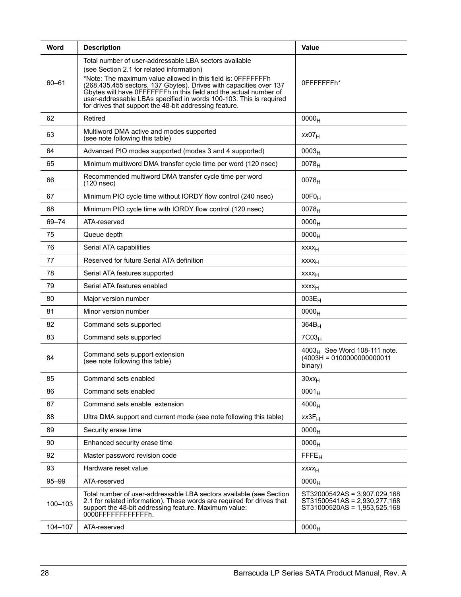| Word      | <b>Description</b>                                                                                                                                                                                                                                                                                                                                                                                                                             | Value                                                                                        |
|-----------|------------------------------------------------------------------------------------------------------------------------------------------------------------------------------------------------------------------------------------------------------------------------------------------------------------------------------------------------------------------------------------------------------------------------------------------------|----------------------------------------------------------------------------------------------|
| $60 - 61$ | Total number of user-addressable LBA sectors available<br>(see Section 2.1 for related information)<br>*Note: The maximum value allowed in this field is: OFFFFFFFh<br>(268,435,455 sectors, 137 Gbytes). Drives with capacities over 137<br>Gbytes will have OFFFFFFFh in this field and the actual number of<br>user-addressable LBAs specified in words 100-103. This is required<br>for drives that support the 48-bit addressing feature. | 0FFFFFFFFh*                                                                                  |
| 62        | Retired                                                                                                                                                                                                                                                                                                                                                                                                                                        | 0000 <sub>H</sub>                                                                            |
| 63        | Multiword DMA active and modes supported<br>(see note following this table)                                                                                                                                                                                                                                                                                                                                                                    | xx07 <sub>H</sub>                                                                            |
| 64        | Advanced PIO modes supported (modes 3 and 4 supported)                                                                                                                                                                                                                                                                                                                                                                                         | 0003 <sub>H</sub>                                                                            |
| 65        | Minimum multiword DMA transfer cycle time per word (120 nsec)                                                                                                                                                                                                                                                                                                                                                                                  | 0078 <sub>H</sub>                                                                            |
| 66        | Recommended multiword DMA transfer cycle time per word<br>(120 nsec)                                                                                                                                                                                                                                                                                                                                                                           | $0078_H$                                                                                     |
| 67        | Minimum PIO cycle time without IORDY flow control (240 nsec)                                                                                                                                                                                                                                                                                                                                                                                   | $00F0_H$                                                                                     |
| 68        | Minimum PIO cycle time with IORDY flow control (120 nsec)                                                                                                                                                                                                                                                                                                                                                                                      | 0078 <sub>H</sub>                                                                            |
| 69-74     | ATA-reserved                                                                                                                                                                                                                                                                                                                                                                                                                                   | 0000 <sub>H</sub>                                                                            |
| 75        | Queue depth                                                                                                                                                                                                                                                                                                                                                                                                                                    | 0000 <sub>H</sub>                                                                            |
| 76        | Serial ATA capabilities                                                                                                                                                                                                                                                                                                                                                                                                                        | XXXH                                                                                         |
| 77        | Reserved for future Serial ATA definition                                                                                                                                                                                                                                                                                                                                                                                                      | xxxx <sub>H</sub>                                                                            |
| 78        | Serial ATA features supported                                                                                                                                                                                                                                                                                                                                                                                                                  | XXXH                                                                                         |
| 79        | Serial ATA features enabled                                                                                                                                                                                                                                                                                                                                                                                                                    | xxxx <sub>H</sub>                                                                            |
| 80        | Major version number                                                                                                                                                                                                                                                                                                                                                                                                                           | $003E_H$                                                                                     |
| 81        | Minor version number                                                                                                                                                                                                                                                                                                                                                                                                                           | 0000 <sub>H</sub>                                                                            |
| 82        | Command sets supported                                                                                                                                                                                                                                                                                                                                                                                                                         | $364B_H$                                                                                     |
| 83        | Command sets supported                                                                                                                                                                                                                                                                                                                                                                                                                         | $7C03_H$                                                                                     |
| 84        | Command sets support extension<br>(see note following this table)                                                                                                                                                                                                                                                                                                                                                                              | $4003_H$ See Word 108-111 note.<br>$(4003H = 0100000000000011$<br>binary)                    |
| 85        | Command sets enabled                                                                                                                                                                                                                                                                                                                                                                                                                           | $30xx_H$                                                                                     |
| 86        | Command sets enabled                                                                                                                                                                                                                                                                                                                                                                                                                           | $0001_H$                                                                                     |
| 87        | Command sets enable extension                                                                                                                                                                                                                                                                                                                                                                                                                  | 4000 <sub>H</sub>                                                                            |
| 88        | Ultra DMA support and current mode (see note following this table)                                                                                                                                                                                                                                                                                                                                                                             | $XX3F_H$                                                                                     |
| 89        | Security erase time                                                                                                                                                                                                                                                                                                                                                                                                                            | 0000 <sub>H</sub>                                                                            |
| 90        | Enhanced security erase time                                                                                                                                                                                                                                                                                                                                                                                                                   | 0000 <sub>H</sub>                                                                            |
| 92        | Master password revision code                                                                                                                                                                                                                                                                                                                                                                                                                  | $F$ $F$ $F$ $E$ $H$                                                                          |
| 93        | Hardware reset value                                                                                                                                                                                                                                                                                                                                                                                                                           | <b>XXXX<sub>H</sub></b>                                                                      |
| 95-99     | ATA-reserved                                                                                                                                                                                                                                                                                                                                                                                                                                   | 0000 <sub>H</sub>                                                                            |
| 100-103   | Total number of user-addressable LBA sectors available (see Section<br>2.1 for related information). These words are required for drives that<br>support the 48-bit addressing feature. Maximum value:<br>0000FFFFFFFFFFFFh.                                                                                                                                                                                                                   | ST32000542AS = 3,907,029,168<br>ST31500541AS = 2,930,277,168<br>ST31000520AS = 1,953,525,168 |
| 104-107   | ATA-reserved                                                                                                                                                                                                                                                                                                                                                                                                                                   | 0000 <sub>H</sub>                                                                            |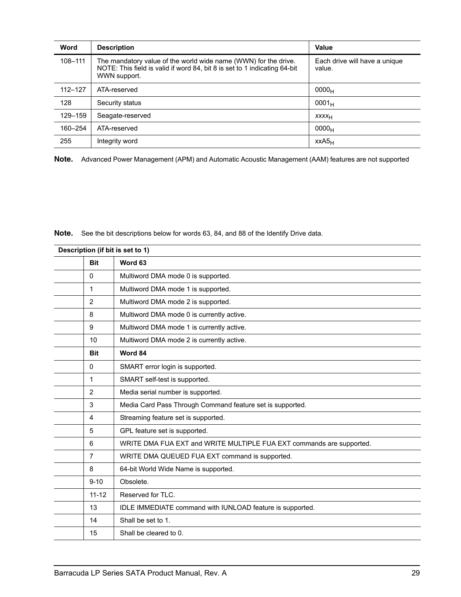| Word        | <b>Description</b>                                                                                                                                           | Value                                   |
|-------------|--------------------------------------------------------------------------------------------------------------------------------------------------------------|-----------------------------------------|
| 108-111     | The mandatory value of the world wide name (WWN) for the drive.<br>NOTE: This field is valid if word 84, bit 8 is set to 1 indicating 64-bit<br>WWN support. | Each drive will have a unique<br>value. |
| $112 - 127$ | ATA-reserved                                                                                                                                                 | $0000_H$                                |
| 128         | Security status                                                                                                                                              | $0001_H$                                |
| 129-159     | Seagate-reserved                                                                                                                                             | XXXX <sub>H</sub>                       |
| 160-254     | ATA-reserved                                                                                                                                                 | 0000 <sub>H</sub>                       |
| 255         | Integrity word                                                                                                                                               | $XXAS_H$                                |

**Note.** Advanced Power Management (APM) and Automatic Acoustic Management (AAM) features are not supported

**Note.** See the bit descriptions below for words 63, 84, and 88 of the Identify Drive data.

| Description (if bit is set to 1) |                                                                      |  |  |
|----------------------------------|----------------------------------------------------------------------|--|--|
| <b>Bit</b>                       | Word 63                                                              |  |  |
| $\Omega$                         | Multiword DMA mode 0 is supported.                                   |  |  |
| 1                                | Multiword DMA mode 1 is supported.                                   |  |  |
| $\overline{2}$                   | Multiword DMA mode 2 is supported.                                   |  |  |
| 8                                | Multiword DMA mode 0 is currently active.                            |  |  |
| 9                                | Multiword DMA mode 1 is currently active.                            |  |  |
| 10                               | Multiword DMA mode 2 is currently active.                            |  |  |
| <b>Bit</b>                       | Word 84                                                              |  |  |
| $\Omega$                         | SMART error login is supported.                                      |  |  |
| $\mathbf{1}$                     | SMART self-test is supported.                                        |  |  |
| 2                                | Media serial number is supported.                                    |  |  |
| 3                                | Media Card Pass Through Command feature set is supported.            |  |  |
| $\overline{4}$                   | Streaming feature set is supported.                                  |  |  |
| 5                                | GPL feature set is supported.                                        |  |  |
| 6                                | WRITE DMA FUA EXT and WRITE MULTIPLE FUA EXT commands are supported. |  |  |
| $\overline{7}$                   | WRITE DMA QUEUED FUA EXT command is supported.                       |  |  |
| 8                                | 64-bit World Wide Name is supported.                                 |  |  |
| $9 - 10$                         | Obsolete.                                                            |  |  |
| $11 - 12$                        | Reserved for TLC.                                                    |  |  |
| 13                               | IDLE IMMEDIATE command with IUNLOAD feature is supported.            |  |  |
| 14                               | Shall be set to 1.                                                   |  |  |
| 15                               | Shall be cleared to 0.                                               |  |  |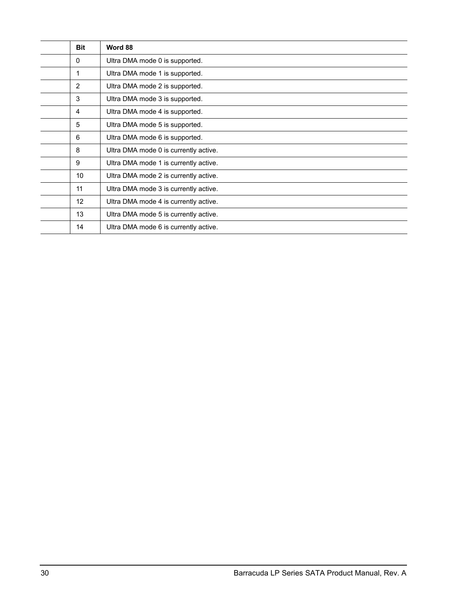| <b>Bit</b> | Word 88                               |
|------------|---------------------------------------|
| 0          | Ultra DMA mode 0 is supported.        |
| 1          | Ultra DMA mode 1 is supported.        |
| 2          | Ultra DMA mode 2 is supported.        |
| 3          | Ultra DMA mode 3 is supported.        |
| 4          | Ultra DMA mode 4 is supported.        |
| 5          | Ultra DMA mode 5 is supported.        |
| 6          | Ultra DMA mode 6 is supported.        |
| 8          | Ultra DMA mode 0 is currently active. |
| 9          | Ultra DMA mode 1 is currently active. |
| 10         | Ultra DMA mode 2 is currently active. |
| 11         | Ultra DMA mode 3 is currently active. |
| 12         | Ultra DMA mode 4 is currently active. |
| 13         | Ultra DMA mode 5 is currently active. |
| 14         | Ultra DMA mode 6 is currently active. |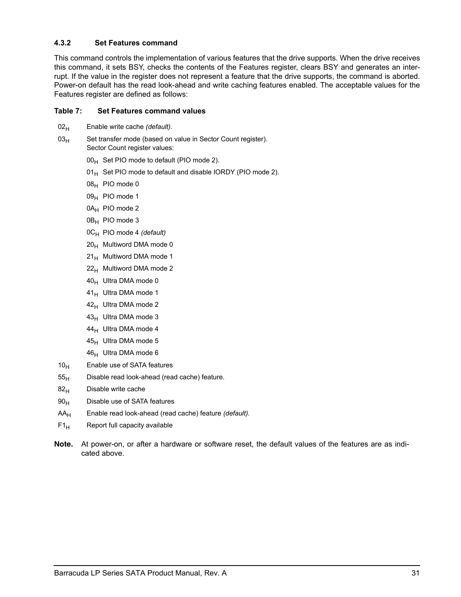### <span id="page-36-0"></span>**4.3.2 Set Features command**

This command controls the implementation of various features that the drive supports. When the drive receives this command, it sets BSY, checks the contents of the Features register, clears BSY and generates an interrupt. If the value in the register does not represent a feature that the drive supports, the command is aborted. Power-on default has the read look-ahead and write caching features enabled. The acceptable values for the Features register are defined as follows:

#### **Table 7: Set Features command values**

- 02<sub>H</sub> Enable write cache *(default)*.
- $03<sub>H</sub>$  Set transfer mode (based on value in Sector Count register). Sector Count register values:
	- $00_H$  Set PIO mode to default (PIO mode 2).
	- $01_H$  Set PIO mode to default and disable IORDY (PIO mode 2).
	- $08_H$  PIO mode 0
	- 09<sub>H</sub> PIO mode 1
	- 0A<sub>H</sub> PIO mode 2
	- $0B_H$  PIO mode 3
	- 0CH PIO mode 4 *(default)*
	- $20<sub>H</sub>$  Multiword DMA mode 0
	- $21_H$  Multiword DMA mode 1
	- $22<sub>H</sub>$  Multiword DMA mode 2
	- $40_H$  Ultra DMA mode 0
	- $41_H$  Ultra DMA mode 1
	- $42_H$  Ultra DMA mode 2
	- $43_H$  Ultra DMA mode 3
	- $44_H$  Ultra DMA mode 4
	- $45_H$  Ultra DMA mode 5
	- $46_H$  Ultra DMA mode 6
- $10<sub>H</sub>$  Enable use of SATA features
- $55<sub>H</sub>$  Disable read look-ahead (read cache) feature.
- $82<sub>H</sub>$  Disable write cache
- $90<sub>H</sub>$  Disable use of SATA features
- AAH Enable read look-ahead (read cache) feature *(default).*
- $F1_H$  Report full capacity available
- **Note.** At power-on, or after a hardware or software reset, the default values of the features are as indicated above.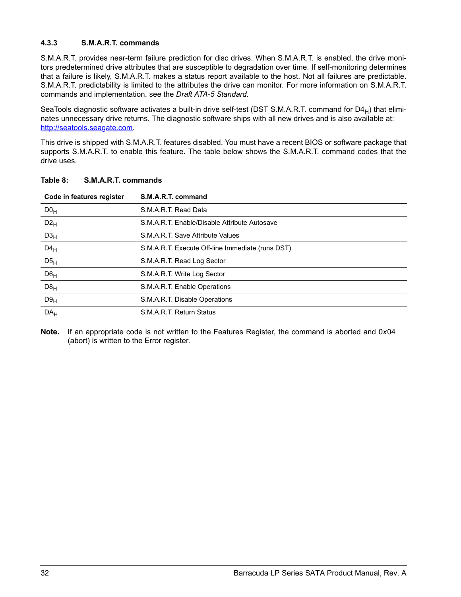## <span id="page-37-0"></span>**4.3.3 S.M.A.R.T. commands**

S.M.A.R.T. provides near-term failure prediction for disc drives. When S.M.A.R.T. is enabled, the drive monitors predetermined drive attributes that are susceptible to degradation over time. If self-monitoring determines that a failure is likely, S.M.A.R.T. makes a status report available to the host. Not all failures are predictable. S.M.A.R.T. predictability is limited to the attributes the drive can monitor. For more information on S.M.A.R.T. commands and implementation, see the *Draft ATA-5 Standard.*

SeaTools diagnostic software activates a built-in drive self-test (DST S.M.A.R.T. command for  $D4_H$ ) that eliminates unnecessary drive returns. The diagnostic software ships with all new drives and is also available at: http://seatools.seagate.com.

This drive is shipped with S.M.A.R.T. features disabled. You must have a recent BIOS or software package that supports S.M.A.R.T. to enable this feature. The table below shows the S.M.A.R.T. command codes that the drive uses.

| Code in features register | S.M.A.R.T. command                               |
|---------------------------|--------------------------------------------------|
| DO <sub>H</sub>           | S.M.A.R.T. Read Data                             |
| $D2_H$                    | S.M.A.R.T. Enable/Disable Attribute Autosave     |
| D3 <sub>H</sub>           | S.M.A.R.T. Save Attribute Values                 |
| $D4_H$                    | S.M.A.R.T. Execute Off-line Immediate (runs DST) |
| D5 <sub>H</sub>           | S.M.A.R.T. Read Log Sector                       |
| D6 <sub>H</sub>           | S.M.A.R.T. Write Log Sector                      |
| $D8_H$                    | S.M.A.R.T. Enable Operations                     |
| D9 <sub>H</sub>           | S.M.A.R.T. Disable Operations                    |
| DA <sub>H</sub>           | S.M.A.R.T. Return Status                         |

**Table 8: S.M.A.R.T. commands**

**Note.** If an appropriate code is not written to the Features Register, the command is aborted and 0*x*04 (abort) is written to the Error register.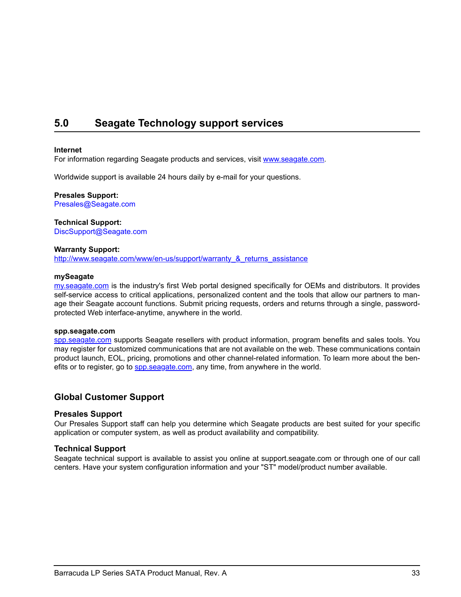# <span id="page-38-1"></span><span id="page-38-0"></span>**5.0 Seagate Technology support services**

#### **Internet**

For information regarding Seagate products and services, visit [www.seag](http://www.seagate.com)ate.com.

Worldwide support is available 24 hours daily by e-mail for your questions.

**Presales Support:**  Presales@Seagate.com

**Technical Support:** DiscSupport@Seagate.com

#### **Warranty Support:**

[http://www.seag](http://www.seagate.com/www/en-us/support/warranty_&_returns_assistance)ate.com/www/en-us/support/warranty & returns assistance

#### **mySeagate**

[my.sea](http://www.seagate.com)gate.com is the industry's first Web portal designed specifically for OEMs and distributors. It provides self-service access to critical applications, personalized content and the tools that allow our partners to manage their Seagate account functions. Submit pricing requests, orders and returns through a single, passwordprotected Web interface-anytime, anywhere in the world.

#### **spp.seagate.com**

[spp.seag](http://spp.seagate.com)ate.com supports Seagate resellers with product information, program benefits and sales tools. You may register for customized communications that are not available on the web. These communications contain product launch, EOL, pricing, promotions and other channel-related information. To learn more about the benefits or to register, go to [spp.sea](http://spp.seagate.com)gate.com, any time, from anywhere in the world.

## **Global Customer Support**

#### **Presales Support**

Our Presales Support staff can help you determine which Seagate products are best suited for your specific application or computer system, as well as product availability and compatibility.

#### **Technical Support**

Seagate technical support is available to assist you online at support.seagate.com or through one of our call centers. Have your system configuration information and your "ST" model/product number available.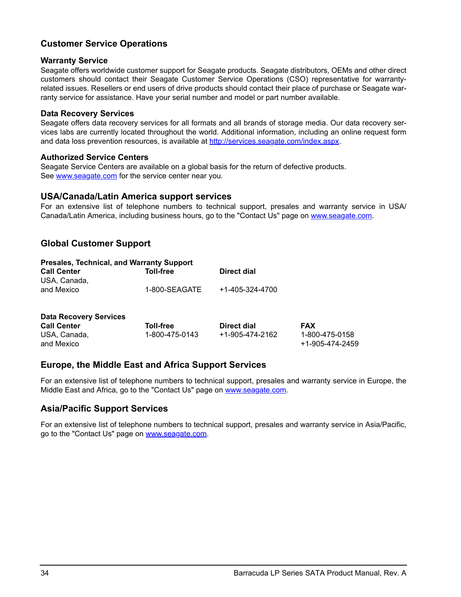# **Customer Service Operations**

### **Warranty Service**

Seagate offers worldwide customer support for Seagate products. Seagate distributors, OEMs and other direct customers should contact their Seagate Customer Service Operations (CSO) representative for warrantyrelated issues. Resellers or end users of drive products should contact their place of purchase or Seagate warranty service for assistance. Have your serial number and model or part number available.

### **Data Recovery Services**

Seagate offers data recovery services for all formats and all brands of storage media. Our data recovery services labs are currently located throughout the world. Additional information, including an online request form and data loss prevention resources, is available at [http://services.seag](http://services.seagate.com/index.aspx)ate.com/index.aspx.

### **Authorized Service Centers**

Seagate Service Centers are available on a global basis for the return of defective products. See [www.seag](http://www.seagate.com)ate.com for the service center near you.

## **USA/Canada/Latin America support services**

For an extensive list of telephone numbers to technical support, presales and warranty service in USA/ Canada/Latin America, including business hours, go to the "Contact Us" page on [www.sea](http://www.seagate.com)gate.com.

## **Global Customer Support**

| <b>Presales, Technical, and Warranty Support</b> |               |                 |  |  |
|--------------------------------------------------|---------------|-----------------|--|--|
| <b>Call Center</b>                               | Toll-free     | Direct dial     |  |  |
| USA, Canada,                                     |               |                 |  |  |
| and Mexico                                       | 1-800-SEAGATE | +1-405-324-4700 |  |  |
|                                                  |               |                 |  |  |
|                                                  |               |                 |  |  |

| <b>Data Recovery Services</b> |                |                 |                                   |
|-------------------------------|----------------|-----------------|-----------------------------------|
| <b>Call Center</b>            | Toll-free      | Direct dial     | <b>FAX</b>                        |
| USA, Canada.<br>and Mexico    | 1-800-475-0143 | +1-905-474-2162 | 1-800-475-0158<br>+1-905-474-2459 |

## **Europe, the Middle East and Africa Support Services**

For an extensive list of telephone numbers to technical support, presales and warranty service in Europe, the Middle East and Africa, go to the "Contact Us" page on [www.sea](http://www.seagate.com)gate.com.

## **Asia/Pacific Support Services**

For an extensive list of telephone numbers to technical support, presales and warranty service in Asia/Pacific, go to the "Contact Us" page on [www.seag](http://www.seagate.com)ate.com.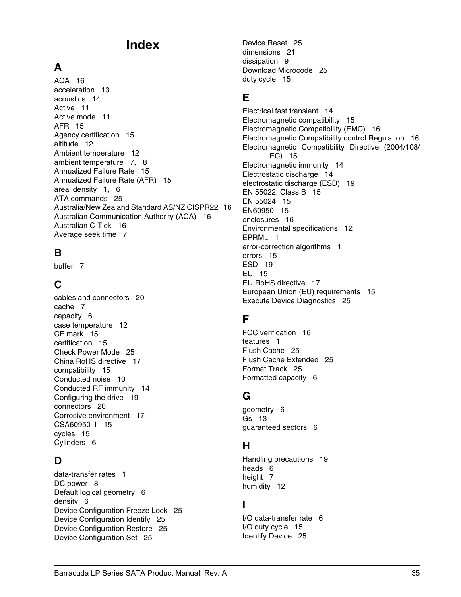# **Index**

# **A**

ACA [16](#page-22-1) acceleration [13](#page-19-2) acoustics [14](#page-20-3) Active [11](#page-17-1) Active mode [11](#page-17-2) AFR [15](#page-21-5) Agency certification [15](#page-21-6) altitude [12](#page-18-5) Ambient temperature [12](#page-18-6) ambient temperature [7](#page-12-3), [8](#page-13-2) Annualized Failure Rate [15](#page-21-7) Annualized Failu[re Rate \(AFR\)](#page-11-4) [15](#page-21-8) areal density [1](#page-6-1), 6 ATA commands [25](#page-30-1) Australia/New Zealand Standard AS/NZ CISPR22 [16](#page-22-2) Australian Communication Authority (ACA) [16](#page-22-3) Australian C-Tick [16](#page-22-4) Average seek time [7](#page-12-4)

# **B**

buffer [7](#page-12-5)

# **C**

cables and connectors [20](#page-25-4) cache [7](#page-12-6) capacity [6](#page-11-5) case temperature [12](#page-18-7) CE mark [15](#page-21-9) certification [15](#page-21-10) Check Power Mode [25](#page-30-2) China RoHS directive [17](#page-23-4) compatibility [15](#page-21-11) Conducted noise [10](#page-16-2) Conducted RF immunity [14](#page-20-4) Configuring the drive [19](#page-24-2) connectors [20](#page-25-5) Corrosive environment [17](#page-23-5) CSA60950-1 [15](#page-21-12) cycles [15](#page-21-13) Cylinders [6](#page-11-6)

# **D**

data-transfer rates [1](#page-6-2) DC power [8](#page-13-3) Default logical geometry [6](#page-11-7) density [6](#page-11-8) Device Configuration Freeze Lock [25](#page-30-3) Device Configuration Identify [25](#page-30-4) Device Configuration Restore [25](#page-30-5) Device Configuration Set [25](#page-30-6)

Device Reset [25](#page-30-7) dimensions [21](#page-26-2) dissipation [9](#page-14-0) Download Microcode [25](#page-30-8) duty cycle [15](#page-21-14)

# **E**

Electrical fast transient [14](#page-20-5) Electromagnetic compatibility [15](#page-21-15) Electromagnetic Compatibility (EMC) [16](#page-22-5) Electromagnetic Compatibility control Regulation [16](#page-22-6) Electromagnetic Compatibility Directive (2004/108/ EC) [15](#page-21-16) Electromagnetic immunity [14](#page-20-6) Electrostatic discharge [14](#page-20-7) electrostatic discharge (ESD) [19](#page-24-3) EN 55022, Class B [15](#page-21-17) EN 55024 [15](#page-21-18) EN60950 [15](#page-21-19) enclosures [16](#page-22-7) Environmental specifications [12](#page-18-8) EPRML [1](#page-6-3) error-correction algorithms [1](#page-6-4) errors [15](#page-21-20) ESD [19](#page-24-4) EU [15](#page-21-21) EU RoHS directive [17](#page-23-6) European Union (EU) requirements [15](#page-21-22) Execute Device Diagnostics [25](#page-30-9)

# **F**

FCC verification [16](#page-22-8) features [1](#page-6-5) Flush Cache [25](#page-30-10) Flush Cache Extended [25](#page-30-11) Format Track [25](#page-30-12) Formatted capacity [6](#page-11-9)

# **G**

geometry [6](#page-11-10) Gs [13](#page-19-3) guaranteed sectors [6](#page-11-11)

# **H**

Handling precautions [19](#page-24-5) heads [6](#page-11-12) height [7](#page-12-7) humidity [12](#page-18-9)

# **I**

I/O data-transfer rate [6](#page-11-13) I/O duty cycle [15](#page-21-23) Identify Device [25](#page-30-13)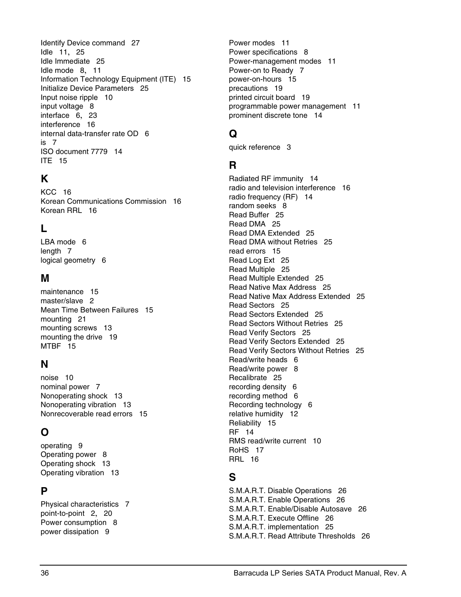Identify Device command [27](#page-32-1) Idle [11](#page-17-3), [25](#page-30-14) Idle Immediate [25](#page-30-15) Idle mode [8](#page-13-4), [11](#page-17-4) Information Technology Equipment (ITE) [15](#page-21-24) Initialize Device Parameters [25](#page-30-16) Input noise ripple [10](#page-16-3) input voltage [8](#page-13-5) interface [6](#page-11-14), [23](#page-28-2) interference [16](#page-22-9) in[ternal data-transfer rate OD](#page-12-8) [6](#page-11-15) is 7 ISO document 7779 [14](#page-20-8) ITE [15](#page-21-25)

# **K**

KCC [16](#page-22-10) Korean Communications Commission [16](#page-22-11) Korean RRL [16](#page-22-12)

# **L**

LBA mode [6](#page-11-16) length [7](#page-12-9) logical geometry [6](#page-11-17)

# **M**

maintenance [15](#page-21-26) master/slave [2](#page-7-1) Mean Time Between Failures [15](#page-21-27) mounting [21](#page-26-3) mounting screws [13](#page-19-4) mounting the drive [19](#page-24-6) MTBF [15](#page-21-28)

# **N**

noise [10](#page-16-4) nominal power [7](#page-12-10) Nonoperating shock [13](#page-19-5) Nonoperating vibration [13](#page-19-6) Nonrecoverable read errors [15](#page-21-29)

# **O**

operating [9](#page-14-1) Operating power [8](#page-13-6) Operating shock [13](#page-19-7) Operating vibration [13](#page-19-8)

# **P**

Physical characteristics [7](#page-12-11) point-to-point [2](#page-7-2), [20](#page-25-6) Power consumption [8](#page-13-7) power dissipation [9](#page-14-2)

Power modes [11](#page-17-5) Power specifications [8](#page-13-8) Power-management modes [11](#page-17-6) Power-on to Ready [7](#page-12-12) power-on-hours [15](#page-21-30) precautions [19](#page-24-7) printed circuit board [19](#page-24-8) programmable power management [11](#page-17-7) prominent discrete tone [14](#page-20-9)

# **Q**

quick reference [3](#page-8-1)

# **R**

Radiated RF immunity [14](#page-20-10) radio and television interference [16](#page-22-13) radio frequency (RF) [14](#page-20-11) random seeks [8](#page-13-9) Read Buffer [25](#page-30-17) Read DMA [25](#page-30-18) Read DMA Extended [25](#page-30-19) Read DMA without Retries [25](#page-30-20) read errors [15](#page-21-31) Read Log Ext [25](#page-30-21) Read Multiple [25](#page-30-22) Read Multiple Extended [25](#page-30-23) Read Native Max Address [25](#page-30-24) Read Native Max Address Extended [25](#page-30-25) Read Sectors [25](#page-30-26) Read Sectors Extended [25](#page-30-27) Read Sectors Without Retries [25](#page-30-28) Read Verify Sectors [25](#page-30-29) Read Verify Sectors Extended [25](#page-30-30) Read Verify Sectors Without Retries [25](#page-30-31) Read/write heads [6](#page-11-18) Read/write power [8](#page-13-10) Recalibrate [25](#page-30-32) recording density [6](#page-11-19) recording method [6](#page-11-20) Recording technology [6](#page-11-21) relative humidity [12](#page-18-10) Reliability [15](#page-21-32) RF [14](#page-20-12) RMS read/write current [10](#page-16-5) RoHS [17](#page-23-7) RRL [16](#page-22-14)

# **S**

S.M.A.R.T. Disable Operations [26](#page-31-0) S.M.A.R.T. Enable Operations [26](#page-31-1) S.M.A.R.T. Enable/Disable Autosave [26](#page-31-2) S.M.A.R.T. Execute Offline [26](#page-31-3) S.M.A.R.T. implementation [25](#page-30-33) S.M.A.R.T. Read Attribute Thresholds [26](#page-31-4)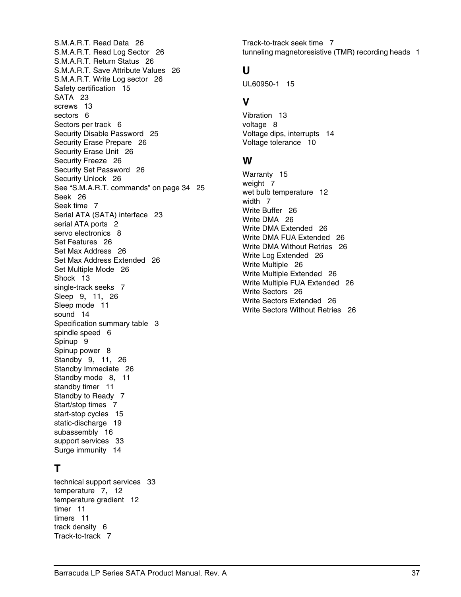S.M.A.R.T. Read Data [26](#page-31-5) S.M.A.R.T. Read Log Sector [26](#page-31-6) S.M.A.R.T. Return Status [26](#page-31-7) S.M.A.R.T. Save Attribute Values [26](#page-31-8) S.M.A.R.T. Write Log sector [26](#page-31-9) Safety certification [15](#page-21-33) SATA [23](#page-28-3) screws [13](#page-19-9) sectors [6](#page-11-22) Sectors per track [6](#page-11-23) Security Disable Password [25](#page-30-34) Security Erase Prepare [26](#page-31-10) Security Erase Unit [26](#page-31-11) Security Freeze [26](#page-31-12) Security Set Password [26](#page-31-13) Security Unlock [26](#page-31-14) See "S.M.A.R.T. commands" on page 34 [25](#page-30-35) Seek [26](#page-31-15) Seek time [7](#page-12-13) Serial ATA (SATA) interface [23](#page-28-4) serial ATA ports [2](#page-7-3) servo electronics [8](#page-13-11) Set Features [26](#page-31-16) Set Max Address [26](#page-31-17) Set Max Address Extended [26](#page-31-18) Set Multiple Mode [26](#page-31-19) Shock [13](#page-19-10) single-track seeks [7](#page-12-14) Sleep [9](#page-14-3), [11](#page-17-8), [26](#page-31-20) Sleep mode [11](#page-17-9) sound [14](#page-20-13) Specification summary table [3](#page-8-2) spindle speed [6](#page-11-24) Spinup [9](#page-14-4) Spinup power [8](#page-13-12) Standby [9](#page-14-5), [11](#page-17-10), [26](#page-31-21) Standby Immediate [26](#page-31-22) Standby mode [8](#page-13-13), [11](#page-17-11) standby timer [11](#page-17-12) Standby to Ready [7](#page-12-15) Start/stop times [7](#page-12-16) start-stop cycles [15](#page-21-34) static-discharge [19](#page-24-9) subassembly [16](#page-22-15) support services [33](#page-38-1) Surge immunity [14](#page-20-14)

# **T**

technical support services [33](#page-38-1) temperature [7](#page-12-17), [12](#page-18-11) temperature gradient [12](#page-18-12) timer [11](#page-17-13) timers [11](#page-17-14) track density [6](#page-11-25) Track-to-track [7](#page-12-18)

Track-to-track seek time [7](#page-12-19) tunneling magnetoresistive (TMR) recording heads [1](#page-6-6)

# **U**

UL60950-1 [15](#page-21-35)

# **V**

Vibration [13](#page-19-11) voltage [8](#page-13-14) Voltage dips, interrupts [14](#page-20-15) Voltage tolerance [10](#page-16-6)

# **W**

Warranty [15](#page-21-36) weight [7](#page-12-20) wet bulb temperature [12](#page-18-13) width [7](#page-12-21) Write Buffer [26](#page-31-23) Write DMA [26](#page-31-24) Write DMA Extended [26](#page-31-25) Write DMA FUA Extended [26](#page-31-26) Write DMA Without Retries [26](#page-31-27) Write Log Extended [26](#page-31-28) Write Multiple [26](#page-31-29) Write Multiple Extended [26](#page-31-30) Write Multiple FUA Extended [26](#page-31-31) Write Sectors [26](#page-31-32) Write Sectors Extended [26](#page-31-33) Write Sectors Without Retries [26](#page-31-34)